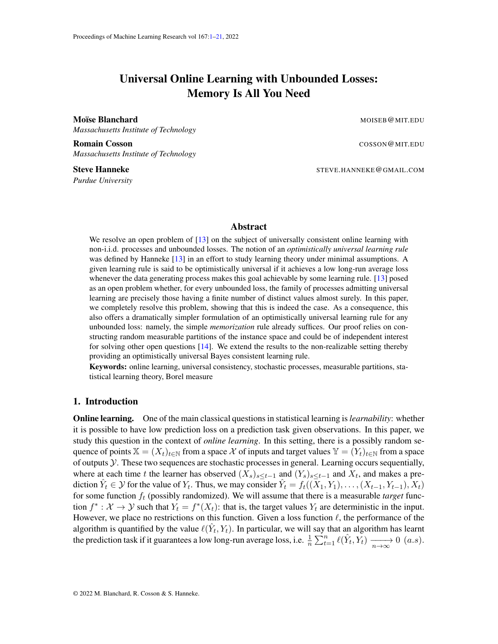# Universal Online Learning with Unbounded Losses: Memory Is All You Need

<span id="page-0-0"></span>**Moïse Blanchard MOISEB @MIT.EDU** *Massachusetts Institute of Technology*

**Romain Cosson** COSSON COSSON COSSON COSSON COSSON COSSON COSSON COSSON COSSON COSSON COSSON COSSON COSSON COSSON COSSON COSSON COSSON COSSON COSSON COSSON COSSON COSSON COSSON COSSON COSSON COSSON COSSON COSSON COSSON COS *Massachusetts Institute of Technology*

*Purdue University*

Steve Hanneke Steve Hanneke STEVE.HANNEKE@GMAIL.COM

## Abstract

We resolve an open problem of [\[13\]](#page-16-0) on the subject of universally consistent online learning with non-i.i.d. processes and unbounded losses. The notion of an *optimistically universal learning rule* was defined by Hanneke [\[13\]](#page-16-0) in an effort to study learning theory under minimal assumptions. A given learning rule is said to be optimistically universal if it achieves a low long-run average loss whenever the data generating process makes this goal achievable by some learning rule. [\[13\]](#page-16-0) posed as an open problem whether, for every unbounded loss, the family of processes admitting universal learning are precisely those having a finite number of distinct values almost surely. In this paper, we completely resolve this problem, showing that this is indeed the case. As a consequence, this also offers a dramatically simpler formulation of an optimistically universal learning rule for any unbounded loss: namely, the simple *memorization* rule already suffices. Our proof relies on constructing random measurable partitions of the instance space and could be of independent interest for solving other open questions  $[14]$ . We extend the results to the non-realizable setting thereby providing an optimistically universal Bayes consistent learning rule.

Keywords: online learning, universal consistency, stochastic processes, measurable partitions, statistical learning theory, Borel measure

# 1. Introduction

Online learning. One of the main classical questions in statistical learning is*learnability*: whether it is possible to have low prediction loss on a prediction task given observations. In this paper, we study this question in the context of *online learning*. In this setting, there is a possibly random sequence of points  $X = (X_t)_{t \in \mathbb{N}}$  from a space X of inputs and target values  $Y = (Y_t)_{t \in \mathbb{N}}$  from a space of outputs Y. These two sequences are stochastic processes in general. Learning occurs sequentially, where at each time t the learner has observed  $(X_s)_{s \le t-1}$  and  $(Y_s)_{s \le t-1}$  and  $X_t$ , and makes a prediction  $\hat{Y}_t \in \mathcal{Y}$  for the value of  $Y_t$ . Thus, we may consider  $\hat{Y}_t = f_t((\bar{X}_1, Y_1), \dots, (X_{t-1}, Y_{t-1}), \bar{X}_t)$ for some function  $f_t$  (possibly randomized). We will assume that there is a measurable *target* function  $f^*: \mathcal{X} \to \mathcal{Y}$  such that  $Y_t = f^*(X_t)$ : that is, the target values  $Y_t$  are deterministic in the input. However, we place no restrictions on this function. Given a loss function  $\ell$ , the performance of the algorithm is quantified by the value  $\ell(\hat{Y}_t, Y_t)$ . In particular, we will say that an algorithm has learnt the prediction task if it guarantees a low long-run average loss, i.e.  $\frac{1}{n} \sum_{t=1}^{n} \ell(\hat{Y}_t, \hat{Y}_t) \xrightarrow[n \to \infty]{} 0$   $(a.s)$ .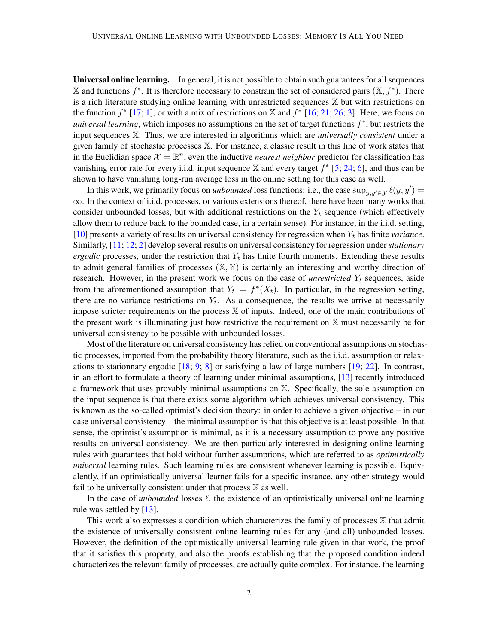Universal online learning. In general, it is not possible to obtain such guarantees for all sequences  $X$  and functions  $f^*$ . It is therefore necessary to constrain the set of considered pairs  $(X, f^*)$ . There is a rich literature studying online learning with unrestricted sequences X but with restrictions on the function  $f^*$  [\[17;](#page-17-1) [1\]](#page-16-1), or with a mix of restrictions on X and  $f^*$  [\[16;](#page-17-2) [21;](#page-17-3) [26;](#page-17-4) [3\]](#page-16-2). Here, we focus on *universal learning*, which imposes no assumptions on the set of target functions  $f^*$ , but restricts the input sequences X. Thus, we are interested in algorithms which are *universally consistent* under a given family of stochastic processes X. For instance, a classic result in this line of work states that in the Euclidian space  $\mathcal{X} = \mathbb{R}^n$ , even the inductive *nearest neighbor* predictor for classification has vanishing error rate for every i.i.d. input sequence  $X$  and every target  $f^*$  [\[5;](#page-16-3) [24;](#page-17-5) [6\]](#page-16-4), and thus can be shown to have vanishing long-run average loss in the online setting for this case as well.

In this work, we primarily focus on *unbounded* loss functions: i.e., the case  $\sup_{y,y'\in\mathcal{Y}} \ell(y, y') =$ ∞. In the context of i.i.d. processes, or various extensions thereof, there have been many works that consider unbounded losses, but with additional restrictions on the  $Y_t$  sequence (which effectively allow them to reduce back to the bounded case, in a certain sense). For instance, in the i.i.d. setting,  $[10]$  presents a variety of results on universal consistency for regression when  $Y_t$  has finite *variance*. Similarly, [\[11;](#page-16-6) [12;](#page-16-7) [2\]](#page-16-8) develop several results on universal consistency for regression under *stationary ergodic* processes, under the restriction that  $Y_t$  has finite fourth moments. Extending these results to admit general families of processes  $(X, Y)$  is certainly an interesting and worthy direction of research. However, in the present work we focus on the case of *unrestricted*  $Y_t$  sequences, aside from the aforementioned assumption that  $Y_t = f^*(X_t)$ . In particular, in the regression setting, there are no variance restrictions on  $Y_t$ . As a consequence, the results we arrive at necessarily impose stricter requirements on the process X of inputs. Indeed, one of the main contributions of the present work is illuminating just how restrictive the requirement on  $X$  must necessarily be for universal consistency to be possible with unbounded losses.

Most of the literature on universal consistency has relied on conventional assumptions on stochastic processes, imported from the probability theory literature, such as the i.i.d. assumption or relaxations to stationnary ergodic [\[18;](#page-17-6) [9;](#page-16-9) [8\]](#page-16-10) or satisfying a law of large numbers [\[19;](#page-17-7) [22\]](#page-17-8). In contrast, in an effort to formulate a theory of learning under minimal assumptions, [\[13\]](#page-16-0) recently introduced a framework that uses provably-minimal assumptions on X. Specifically, the sole assumption on the input sequence is that there exists some algorithm which achieves universal consistency. This is known as the so-called optimist's decision theory: in order to achieve a given objective – in our case universal consistency – the minimal assumption is that this objective is at least possible. In that sense, the optimist's assumption is minimal, as it is a necessary assumption to prove any positive results on universal consistency. We are then particularly interested in designing online learning rules with guarantees that hold without further assumptions, which are referred to as *optimistically universal* learning rules. Such learning rules are consistent whenever learning is possible. Equivalently, if an optimistically universal learner fails for a specific instance, any other strategy would fail to be universally consistent under that process  $X$  as well.

In the case of *unbounded* losses  $\ell$ , the existence of an optimistically universal online learning rule was settled by  $[13]$ .

This work also expresses a condition which characterizes the family of processes X that admit the existence of universally consistent online learning rules for any (and all) unbounded losses. However, the definition of the optimistically universal learning rule given in that work, the proof that it satisfies this property, and also the proofs establishing that the proposed condition indeed characterizes the relevant family of processes, are actually quite complex. For instance, the learning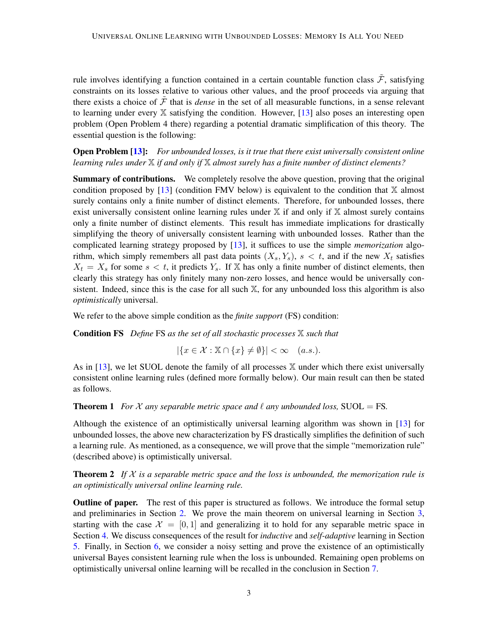rule involves identifying a function contained in a certain countable function class  $\tilde{\mathcal{F}}$ , satisfying constraints on its losses relative to various other values, and the proof proceeds via arguing that there exists a choice of  $\tilde{\mathcal{F}}$  that is *dense* in the set of all measurable functions, in a sense relevant to learning under every  $X$  satisfying the condition. However, [\[13\]](#page-16-0) also poses an interesting open problem (Open Problem 4 there) regarding a potential dramatic simplification of this theory. The essential question is the following:

Open Problem [\[13\]](#page-16-0): *For unbounded losses, is it true that there exist universally consistent online learning rules under* X *if and only if* X *almost surely has a finite number of distinct elements?*

Summary of contributions. We completely resolve the above question, proving that the original condition proposed by  $[13]$  (condition FMV below) is equivalent to the condition that  $X$  almost surely contains only a finite number of distinct elements. Therefore, for unbounded losses, there exist universally consistent online learning rules under  $X$  if and only if  $X$  almost surely contains only a finite number of distinct elements. This result has immediate implications for drastically simplifying the theory of universally consistent learning with unbounded losses. Rather than the complicated learning strategy proposed by [\[13\]](#page-16-0), it suffices to use the simple *memorization* algorithm, which simply remembers all past data points  $(X_s, Y_s)$ ,  $s < t$ , and if the new  $X_t$  satisfies  $X_t = X_s$  for some  $s < t$ , it predicts  $Y_s$ . If X has only a finite number of distinct elements, then clearly this strategy has only finitely many non-zero losses, and hence would be universally consistent. Indeed, since this is the case for all such X, for any unbounded loss this algorithm is also *optimistically* universal.

We refer to the above simple condition as the *finite support* (FS) condition:

Condition FS *Define* FS *as the set of all stochastic processes* X *such that*

$$
|\{x \in \mathcal{X} : \mathbb{X} \cap \{x\} \neq \emptyset\}| < \infty \quad (a.s.).
$$

As in  $[13]$ , we let SUOL denote the family of all processes  $\mathbb X$  under which there exist universally consistent online learning rules (defined more formally below). Our main result can then be stated as follows.

<span id="page-2-0"></span>**Theorem 1** *For*  $\mathcal X$  *any separable metric space and*  $\ell$  *any unbounded loss,* SUOL = FS.

Although the existence of an optimistically universal learning algorithm was shown in [\[13\]](#page-16-0) for unbounded losses, the above new characterization by FS drastically simplifies the definition of such a learning rule. As mentioned, as a consequence, we will prove that the simple "memorization rule" (described above) is optimistically universal.

<span id="page-2-1"></span>**Theorem 2** If  $X$  is a separable metric space and the loss is unbounded, the memorization rule is *an optimistically universal online learning rule.*

**Outline of paper.** The rest of this paper is structured as follows. We introduce the formal setup and preliminaries in Section [2.](#page-3-0) We prove the main theorem on universal learning in Section [3,](#page-7-0) starting with the case  $\mathcal{X} = [0, 1]$  and generalizing it to hold for any separable metric space in Section [4.](#page-10-0) We discuss consequences of the result for *inductive* and *self-adaptive* learning in Section [5.](#page-12-0) Finally, in Section [6,](#page-13-0) we consider a noisy setting and prove the existence of an optimistically universal Bayes consistent learning rule when the loss is unbounded. Remaining open problems on optimistically universal online learning will be recalled in the conclusion in Section [7.](#page-15-0)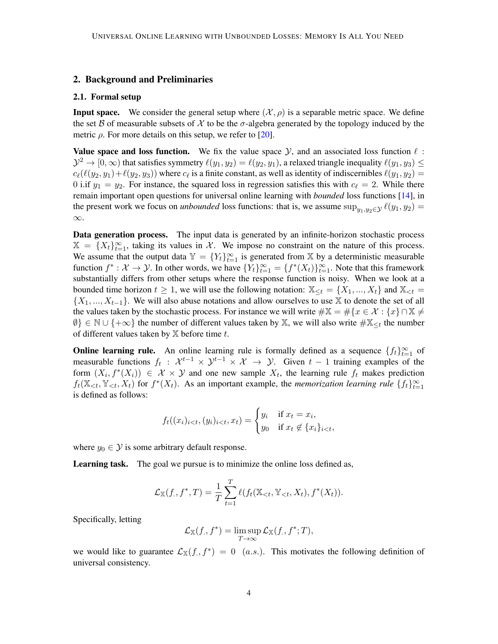# <span id="page-3-0"></span>2. Background and Preliminaries

#### 2.1. Formal setup

**Input space.** We consider the general setup where  $(\mathcal{X}, \rho)$  is a separable metric space. We define the set B of measurable subsets of X to be the  $\sigma$ -algebra generated by the topology induced by the metric  $\rho$ . For more details on this setup, we refer to [\[20\]](#page-17-9).

Value space and loss function. We fix the value space  $\mathcal{Y}$ , and an associated loss function  $\ell$ :  $\mathcal{Y}^2 \to [0,\infty)$  that satisfies symmetry  $\ell(y_1,y_2) = \ell(y_2,y_1)$ , a relaxed triangle inequality  $\ell(y_1,y_3) \leq$  $c_{\ell}(\ell(y_2, y_1)+\ell(y_2, y_3))$  where  $c_{\ell}$  is a finite constant, as well as identity of indiscernibles  $\ell(y_1, y_2)$  = 0 i.if  $y_1 = y_2$ . For instance, the squared loss in regression satisfies this with  $c_\ell = 2$ . While there remain important open questions for universal online learning with *bounded* loss functions [\[14\]](#page-17-0), in the present work we focus on *unbounded* loss functions: that is, we assume sup<sub> $y_1, y_2 \in \mathcal{Y}(\mathcal{Y}_1, \mathcal{Y}_2)$  =</sub> ∞.

**Data generation process.** The input data is generated by an infinite-horizon stochastic process  $\mathbb{X} = \{X_t\}_{t=1}^{\infty}$ , taking its values in X. We impose no constraint on the nature of this process. We assume that the output data  $\mathbb{Y} = \{Y_t\}_{t=1}^{\infty}$  is generated from X by a deterministic measurable function  $f^*: \mathcal{X} \to \mathcal{Y}$ . In other words, we have  $\{Y_t\}_{t=1}^{\infty} = \{f^*(X_t)\}_{t=1}^{\infty}$ . Note that this framework substantially differs from other setups where the response function is noisy. When we look at a bounded time horizon  $t \geq 1$ , we will use the following notation:  $\mathbb{X}_{\leq t} = \{X_1, ..., X_t\}$  and  $\mathbb{X}_{\leq t} =$  $\{X_1, ..., X_{t-1}\}\.$  We will also abuse notations and allow ourselves to use X to denote the set of all the values taken by the stochastic process. For instance we will write  $\#\mathbb{X} = \#\{x \in \mathcal{X} : \{x\} \cap \mathbb{X} \neq \emptyset\}$  $\emptyset$ }  $\in \mathbb{N} \cup \{+\infty\}$  the number of different values taken by X, we will also write  $\#\mathbb{X}_{\leq t}$  the number of different values taken by  $X$  before time  $t$ .

**Online learning rule.** An online learning rule is formally defined as a sequence  $\{f_t\}_{t=1}^{\infty}$  of measurable functions  $f_t$ :  $\mathcal{X}^{t-1} \times \mathcal{Y}^{t-1} \times \mathcal{X} \to \mathcal{Y}$ . Given  $t-1$  training examples of the form  $(X_i, f^*(X_i)) \in \mathcal{X} \times \mathcal{Y}$  and one new sample  $X_t$ , the learning rule  $f_t$  makes prediction  $f_t(\mathbb{X}_{< t}, \mathbb{Y}_{< t}, X_t)$  for  $f^*(X_t)$ . As an important example, the *memorization learning rule*  $\{f_t\}_{t=1}^\infty$ is defined as follows:

$$
f_t((x_i)_{i
$$

where  $y_0 \in \mathcal{Y}$  is some arbitrary default response.

Learning task. The goal we pursue is to minimize the online loss defined as,

$$
\mathcal{L}_{\mathbb{X}}(f, f^*, T) = \frac{1}{T} \sum_{t=1}^T \ell(f_t(\mathbb{X}_{< t}, \mathbb{Y}_{< t}, X_t), f^*(X_t)).
$$

Specifically, letting

$$
\mathcal{L}_{\mathbb{X}}(f, f^*) = \limsup_{T \to \infty} \mathcal{L}_{\mathbb{X}}(f, f^*; T),
$$

we would like to guarantee  $\mathcal{L}_{\mathbb{X}}(f, f^*) = 0$  (a.s.). This motivates the following definition of universal consistency.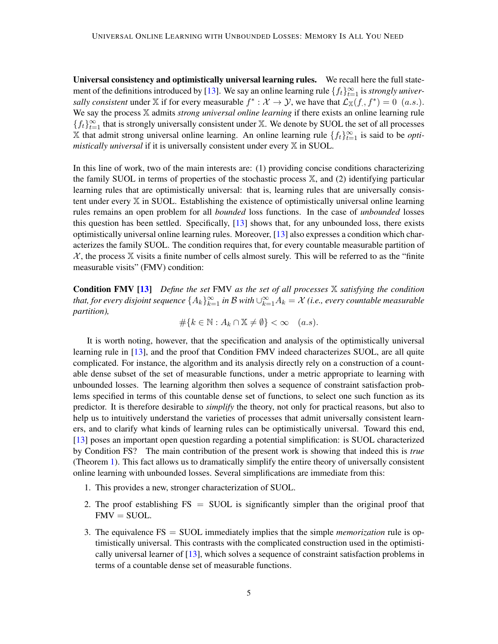Universal consistency and optimistically universal learning rules. We recall here the full state-ment of the definitions introduced by [\[13\]](#page-16-0). We say an online learning rule  $\{f_t\}_{t=1}^{\infty}$  is *strongly universally consistent* under X if for every measurable  $f^*: \mathcal{X} \to \mathcal{Y}$ , we have that  $\mathcal{L}_{X}(f, f^*) = 0$  (a.s.). We say the process X admits *strong universal online learning* if there exists an online learning rule  ${f_t}_{t=1}^{\infty}$  that is strongly universally consistent under X. We denote by SUOL the set of all processes  $\overline{\mathbb{X}}$  that admit strong universal online learning. An online learning rule  $\{f_t\}_{t=1}^\infty$  is said to be *optimistically universal* if it is universally consistent under every X in SUOL.

In this line of work, two of the main interests are: (1) providing concise conditions characterizing the family SUOL in terms of properties of the stochastic process X, and (2) identifying particular learning rules that are optimistically universal: that is, learning rules that are universally consistent under every X in SUOL. Establishing the existence of optimistically universal online learning rules remains an open problem for all *bounded* loss functions. In the case of *unbounded* losses this question has been settled. Specifically, [\[13\]](#page-16-0) shows that, for any unbounded loss, there exists optimistically universal online learning rules. Moreover, [\[13\]](#page-16-0) also expresses a condition which characterizes the family SUOL. The condition requires that, for every countable measurable partition of  $\mathcal{X}$ , the process  $\mathbb X$  visits a finite number of cells almost surely. This will be referred to as the "finite" measurable visits" (FMV) condition:

Condition FMV [\[13\]](#page-16-0) *Define the set* FMV *as the set of all processes* X *satisfying the condition* that, for every disjoint sequence  $\{A_k\}_{k=1}^\infty$  in  ${\cal B}$  with  $\cup_{k=1}^\infty A_k={\cal X}$  (i.e., every countable measurable *partition),*

 $\#\{k \in \mathbb{N} : A_k \cap \mathbb{X} \neq \emptyset\} < \infty \quad (a.s).$ 

It is worth noting, however, that the specification and analysis of the optimistically universal learning rule in [\[13\]](#page-16-0), and the proof that Condition FMV indeed characterizes SUOL, are all quite complicated. For instance, the algorithm and its analysis directly rely on a construction of a countable dense subset of the set of measurable functions, under a metric appropriate to learning with unbounded losses. The learning algorithm then solves a sequence of constraint satisfaction problems specified in terms of this countable dense set of functions, to select one such function as its predictor. It is therefore desirable to *simplify* the theory, not only for practical reasons, but also to help us to intuitively understand the varieties of processes that admit universally consistent learners, and to clarify what kinds of learning rules can be optimistically universal. Toward this end, [\[13\]](#page-16-0) poses an important open question regarding a potential simplification: is SUOL characterized by Condition FS? The main contribution of the present work is showing that indeed this is *true* (Theorem [1\)](#page-2-0). This fact allows us to dramatically simplify the entire theory of universally consistent online learning with unbounded losses. Several simplifications are immediate from this:

- 1. This provides a new, stronger characterization of SUOL.
- 2. The proof establishing  $FS = SUOL$  is significantly simpler than the original proof that  $FMV = SUOL.$
- 3. The equivalence FS = SUOL immediately implies that the simple *memorization* rule is optimistically universal. This contrasts with the complicated construction used in the optimistically universal learner of [\[13\]](#page-16-0), which solves a sequence of constraint satisfaction problems in terms of a countable dense set of measurable functions.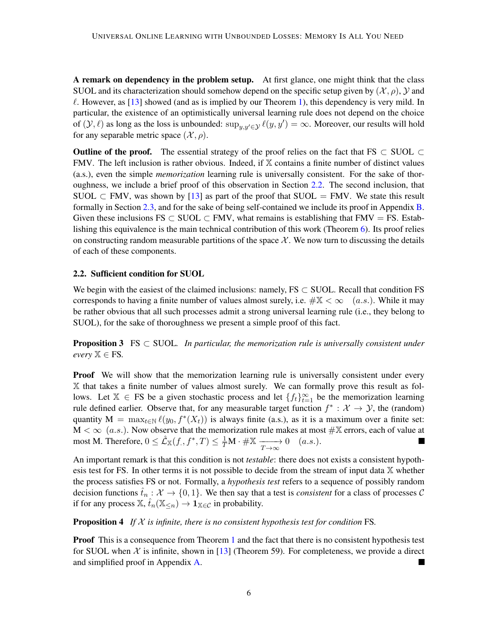A remark on dependency in the problem setup. At first glance, one might think that the class SUOL and its characterization should somehow depend on the specific setup given by  $(\mathcal{X}, \rho)$ ,  $\mathcal{Y}$  and  $\ell$ . However, as [\[13\]](#page-16-0) showed (and as is implied by our Theorem [1\)](#page-2-0), this dependency is very mild. In particular, the existence of an optimistically universal learning rule does not depend on the choice of  $(y, \ell)$  as long as the loss is unbounded:  $\sup_{y, y' \in \mathcal{Y}} \ell(y, y') = \infty$ . Moreover, our results will hold for any separable metric space  $(\mathcal{X}, \rho)$ .

**Outline of the proof.** The essential strategy of the proof relies on the fact that FS  $\subset$  SUOL  $\subset$ FMV. The left inclusion is rather obvious. Indeed, if  $X$  contains a finite number of distinct values (a.s.), even the simple *memorization* learning rule is universally consistent. For the sake of thoroughness, we include a brief proof of this observation in Section [2.2.](#page-5-0) The second inclusion, that SUOL  $\subset$  FMV, was shown by [\[13\]](#page-16-0) as part of the proof that SUOL = FMV. We state this result formally in Section [2.3,](#page-6-0) and for the sake of being self-contained we include its proof in Appendix [B.](#page-18-0) Given these inclusions FS  $\subset$  SUOL  $\subset$  FMV, what remains is establishing that FMV = FS. Establishing this equivalence is the main technical contribution of this work (Theorem [6\)](#page-7-1). Its proof relies on constructing random measurable partitions of the space  $\mathcal{X}$ . We now turn to discussing the details of each of these components.

#### <span id="page-5-0"></span>2.2. Sufficient condition for SUOL

We begin with the easiest of the claimed inclusions: namely,  $FS \subset SUOL$ . Recall that condition FS corresponds to having a finite number of values almost surely, i.e.  $\#\mathbb{X} < \infty$  (a.s.). While it may be rather obvious that all such processes admit a strong universal learning rule (i.e., they belong to SUOL), for the sake of thoroughness we present a simple proof of this fact.

<span id="page-5-1"></span>**Proposition 3** FS  $\subset$  SUOL. In particular, the memorization rule is universally consistent under  $every \mathbb{X} \in FS$ .

**Proof** We will show that the memorization learning rule is universally consistent under every X that takes a finite number of values almost surely. We can formally prove this result as follows. Let  $X \in FS$  be a given stochastic process and let  $\{f_t\}_{t=1}^{\infty}$  be the memorization learning rule defined earlier. Observe that, for any measurable target function  $f^* : \mathcal{X} \to \mathcal{Y}$ , the (random) quantity  $M = \max_{t \in \mathbb{N}} \ell(y_0, f^*(X_t))$  is always finite (a.s.), as it is a maximum over a finite set:  $M < \infty$  (a.s.). Now observe that the memorization rule makes at most  $\#\mathbb{X}$  errors, each of value at most M. Therefore,  $0 \leq \hat{\mathcal{L}}_X(f_., f^*, T) \leq \frac{1}{T} M \cdot \# \mathbb{X} \xrightarrow[T \to \infty]{} 0 \quad (a.s.).$ 

An important remark is that this condition is not *testable*: there does not exists a consistent hypothesis test for FS. In other terms it is not possible to decide from the stream of input data  $X$  whether the process satisfies FS or not. Formally, a *hypothesis test* refers to a sequence of possibly random decision functions  $\hat{t}_n : \mathcal{X} \to \{0,1\}$ . We then say that a test is *consistent* for a class of processes C if for any process  $\mathbb{X}$ ,  $\hat{t}_n(\mathbb{X}_{\leq n}) \to \mathbf{1}_{\mathbb{X} \in \mathcal{C}}$  in probability.

#### <span id="page-5-2"></span>Proposition 4 *If* X *is infinite, there is no consistent hypothesis test for condition* FS*.*

**Proof** This is a consequence from Theorem [1](#page-2-0) and the fact that there is no consistent hypothesis test for SUOL when X is infinite, shown in [\[13\]](#page-16-0) (Theorem 59). For completeness, we provide a direct and simplified proof in Appendix [A.](#page-18-1) Ξ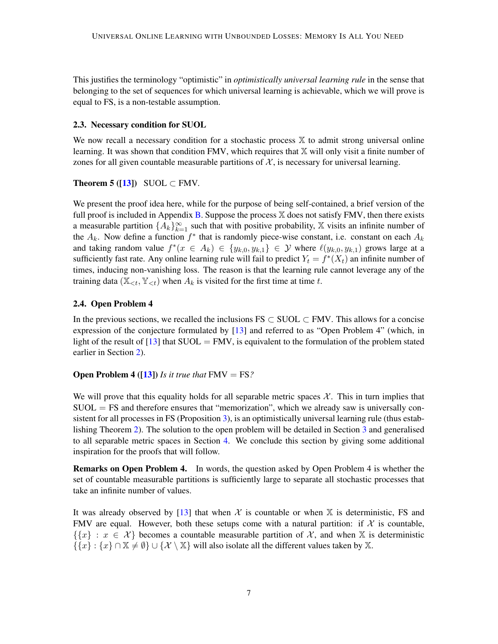This justifies the terminology "optimistic" in *optimistically universal learning rule* in the sense that belonging to the set of sequences for which universal learning is achievable, which we will prove is equal to FS, is a non-testable assumption.

## <span id="page-6-0"></span>2.3. Necessary condition for SUOL

We now recall a necessary condition for a stochastic process  $X$  to admit strong universal online learning. It was shown that condition FMV, which requires that  $X$  will only visit a finite number of zones for all given countable measurable partitions of  $X$ , is necessary for universal learning.

# <span id="page-6-1"></span>Theorem 5 ( $[13]$ ) SUOL  $\subset$  FMV.

We present the proof idea here, while for the purpose of being self-contained, a brief version of the full proof is included in Appendix [B.](#page-18-0) Suppose the process  $X$  does not satisfy FMV, then there exists a measurable partition  $\{A_k\}_{k=1}^{\infty}$  such that with positive probability, X visits an infinite number of the  $A_k$ . Now define a function  $f^*$  that is randomly piece-wise constant, i.e. constant on each  $A_k$ and taking random value  $f^*(x \in A_k) \in \{y_{k,0}, y_{k,1}\} \in \mathcal{Y}$  where  $\ell(y_{k,0}, y_{k,1})$  grows large at a sufficiently fast rate. Any online learning rule will fail to predict  $Y_t = f^*(X_t)$  an infinite number of times, inducing non-vanishing loss. The reason is that the learning rule cannot leverage any of the training data ( $\mathbb{X}_{\leq t}$ ,  $\mathbb{Y}_{\leq t}$ ) when  $A_k$  is visited for the first time at time t.

# 2.4. Open Problem 4

In the previous sections, we recalled the inclusions  $FS \subset SUOL \subset FMV$ . This allows for a concise expression of the conjecture formulated by [\[13\]](#page-16-0) and referred to as "Open Problem 4" (which, in light of the result of  $[13]$  that SUOL = FMV, is equivalent to the formulation of the problem stated earlier in Section [2\)](#page-3-0).

# **Open Problem 4 ([\[13\]](#page-16-0))** *Is it true that*  $FMV = FS$ *?*

We will prove that this equality holds for all separable metric spaces  $\mathcal{X}$ . This in turn implies that  $SUOL = FS$  and therefore ensures that "memorization", which we already saw is universally consistent for all processes in FS (Proposition [3\)](#page-5-1), is an optimistically universal learning rule (thus establishing Theorem [2\)](#page-2-1). The solution to the open problem will be detailed in Section [3](#page-7-0) and generalised to all separable metric spaces in Section [4.](#page-10-0) We conclude this section by giving some additional inspiration for the proofs that will follow.

Remarks on Open Problem 4. In words, the question asked by Open Problem 4 is whether the set of countable measurable partitions is sufficiently large to separate all stochastic processes that take an infinite number of values.

It was already observed by [\[13\]](#page-16-0) that when  $X$  is countable or when  $X$  is deterministic, FS and FMV are equal. However, both these setups come with a natural partition: if  $\mathcal X$  is countable,  $\{\{x\} : x \in \mathcal{X}\}\$  becomes a countable measurable partition of  $\mathcal{X}$ , and when X is deterministic  $\{\{x\} : \{x\} \cap \mathbb{X} \neq \emptyset\} \cup \{\mathcal{X} \setminus \mathbb{X}\}\$  will also isolate all the different values taken by X.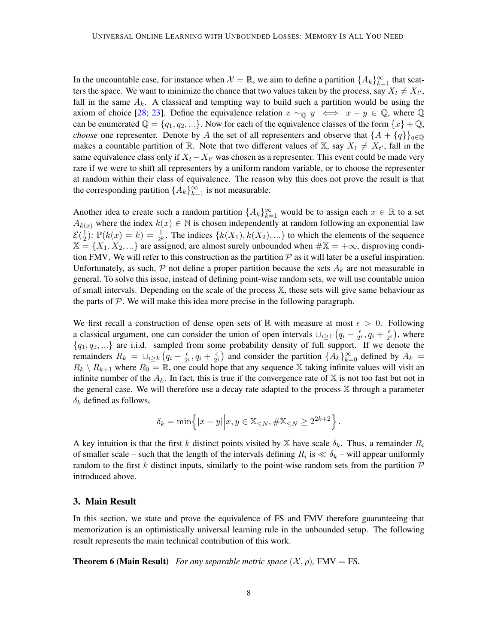In the uncountable case, for instance when  $\mathcal{X} = \mathbb{R}$ , we aim to define a partition  $\{A_k\}_{k=1}^{\infty}$  that scatters the space. We want to minimize the chance that two values taken by the process, say  $X_t \neq X_{t'}$ , fall in the same  $A_k$ . A classical and tempting way to build such a partition would be using the axiom of choice [\[28;](#page-17-10) [23\]](#page-17-11). Define the equivalence relation  $x \sim_{\mathbb{Q}} y \iff x - y \in \mathbb{Q}$ , where  $\mathbb{Q}$ can be enumerated  $\mathbb{Q} = \{q_1, q_2, ...\}$ . Now for each of the equivalence classes of the form  $\{x\} + \mathbb{Q}$ , *choose* one representer. Denote by A the set of all representers and observe that  $\{A + \{q\}\}_{q \in \mathbb{Q}}$ makes a countable partition of R. Note that two different values of X, say  $X_t \neq X_{t'}$ , fall in the same equivalence class only if  $X_t - X_{t'}$  was chosen as a representer. This event could be made very rare if we were to shift all representers by a uniform random variable, or to choose the representer at random within their class of equivalence. The reason why this does not prove the result is that the corresponding partition  $\{A_k\}_{k=1}^{\infty}$  is not measurable.

Another idea to create such a random partition  $\{A_k\}_{k=1}^{\infty}$  would be to assign each  $x \in \mathbb{R}$  to a set  $A_{k(x)}$  where the index  $k(x) \in \mathbb{N}$  is chosen independently at random following an exponential law  $\mathcal{E}(\frac{1}{2})$  $\frac{1}{2}$ :  $\mathbb{P}(k(x) = k) = \frac{1}{2^k}$ . The indices  $\{k(X_1), k(X_2), ...\}$  to which the elements of the sequence  $X = \{X_1, X_2, ...\}$  are assigned, are almost surely unbounded when  $\#\mathbb{X} = +\infty$ , disproving condition FMV. We will refer to this construction as the partition  $P$  as it will later be a useful inspiration. Unfortunately, as such,  $P$  not define a proper partition because the sets  $A_k$  are not measurable in general. To solve this issue, instead of defining point-wise random sets, we will use countable union of small intervals. Depending on the scale of the process X, these sets will give same behaviour as the parts of  $P$ . We will make this idea more precise in the following paragraph.

We first recall a construction of dense open sets of R with measure at most  $\epsilon > 0$ . Following a classical argument, one can consider the union of open intervals  $\bigcup_{i\geq 1} (q_i - \frac{\epsilon}{2i})$  $\frac{\epsilon}{2^i}, q_i + \frac{\epsilon}{2^i}$  $\frac{\epsilon}{2^i}$ ), where  ${q_1, q_2,...}$  are i.i.d. sampled from some probability density of full support. If we denote the remainders  $R_k = \bigcup_{i \geq k} \left( q_i - \frac{\epsilon}{2} \right)$  $\frac{\epsilon}{2^i}, q_i + \frac{\epsilon}{2^i}$  $\frac{\epsilon}{2^i}$ ) and consider the partition  $\{A_k\}_{k=0}^{\infty}$  defined by  $A_k =$  $R_k \setminus R_{k+1}$  where  $R_0 = \mathbb{R}$ , one could hope that any sequence X taking infinite values will visit an infinite number of the  $A_k$ . In fact, this is true if the convergence rate of X is not too fast but not in the general case. We will therefore use a decay rate adapted to the process  $X$  through a parameter  $\delta_k$  defined as follows,

$$
\delta_k = \min \{|x - y| | x, y \in \mathbb{X}_{\leq N}, \#\mathbb{X}_{\leq N} \geq 2^{2k+2} \}.
$$

A key intuition is that the first k distinct points visited by X have scale  $\delta_k$ . Thus, a remainder  $R_i$ of smaller scale – such that the length of the intervals defining  $R_i$  is  $\ll \delta_k$  – will appear uniformly random to the first k distinct inputs, similarly to the point-wise random sets from the partition  $\mathcal P$ introduced above.

## <span id="page-7-0"></span>3. Main Result

In this section, we state and prove the equivalence of FS and FMV therefore guaranteeing that memorization is an optimistically universal learning rule in the unbounded setup. The following result represents the main technical contribution of this work.

<span id="page-7-1"></span>**Theorem 6 (Main Result)** *For any separable metric space*  $(\mathcal{X}, \rho)$ , FMV = FS.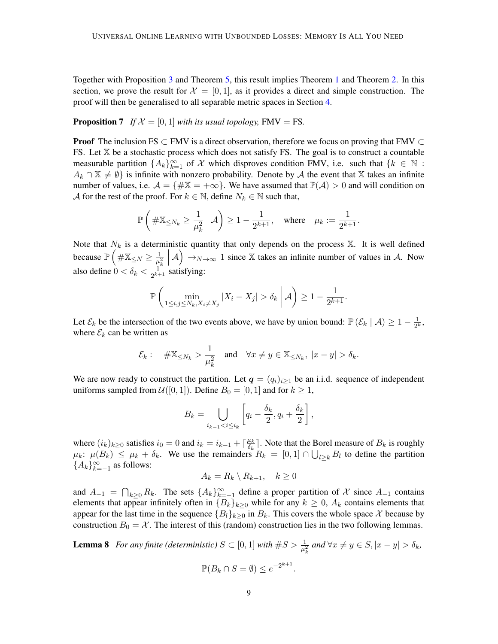Together with Proposition [3](#page-5-1) and Theorem [5,](#page-6-1) this result implies Theorem [1](#page-2-0) and Theorem [2.](#page-2-1) In this section, we prove the result for  $\mathcal{X} = [0, 1]$ , as it provides a direct and simple construction. The proof will then be generalised to all separable metric spaces in Section [4.](#page-10-0)

## <span id="page-8-2"></span>**Proposition 7** If  $\mathcal{X} = [0, 1]$  *with its usual topology*, FMV = FS.

**Proof** The inclusion FS  $\subset$  FMV is a direct observation, therefore we focus on proving that FMV  $\subset$ FS. Let  $X$  be a stochastic process which does not satisfy FS. The goal is to construct a countable measurable partition  $\{A_k\}_{k=1}^{\infty}$  of X which disproves condition FMV, i.e. such that  $\{k \in \mathbb{N} :$  $A_k \cap \mathbb{X} \neq \emptyset$  is infinite with nonzero probability. Denote by A the event that X takes an infinite number of values, i.e.  $\mathcal{A} = \{\#\mathbb{X} = +\infty\}$ . We have assumed that  $\mathbb{P}(\mathcal{A}) > 0$  and will condition on A for the rest of the proof. For  $k \in \mathbb{N}$ , define  $N_k \in \mathbb{N}$  such that,

$$
\mathbb{P}\left(\#\mathbb{X}_{\leq N_k}\geq \frac{1}{\mu_k^2}\;\bigg|\;\mathcal{A}\right)\geq 1-\frac{1}{2^{k+1}},\quad\text{where}\quad \mu_k:=\frac{1}{2^{k+1}}.
$$

Note that  $N_k$  is a deterministic quantity that only depends on the process  $X$ . It is well defined because  $\mathbb{P}\left(\#\mathbb{X}_{\leq N} \geq \frac{1}{n^2}\right)$  $\overline{\mu_k^2}$  $(A) \rightarrow_{N \to \infty} 1$  since X takes an infinite number of values in A. Now also define  $0 < \delta_k < \frac{1}{2^{k+1}}$  $\frac{1}{2^{k+1}}$  satisfying:

$$
\mathbb{P}\left(\min_{1\leq i,j\leq N_k,X_i\neq X_j}|X_i-X_j|>\delta_k\;\bigg|\mathcal{A}\right)\geq 1-\frac{1}{2^{k+1}}.
$$

Let  $\mathcal{E}_k$  be the intersection of the two events above, we have by union bound:  $\mathbb{P}(\mathcal{E}_k | \mathcal{A}) \geq 1 - \frac{1}{2^k}$  $\frac{1}{2^k}$ where  $\mathcal{E}_k$  can be written as

$$
\mathcal{E}_k:
$$
  $\#\mathbb{X}_{\leq N_k} > \frac{1}{\mu_k^2}$  and  $\forall x \neq y \in \mathbb{X}_{\leq N_k}$ ,  $|x - y| > \delta_k$ .

We are now ready to construct the partition. Let  $q = (q_i)_{i \geq 1}$  be an i.i.d. sequence of independent uniforms sampled from  $\mathcal{U}([0, 1])$ . Define  $B_0 = [0, 1]$  and for  $k \geq 1$ ,

$$
B_k = \bigcup_{i_{k-1} < i \le i_k} \left[ q_i - \frac{\delta_k}{2}, q_i + \frac{\delta_k}{2} \right],
$$

where  $(i_k)_{k \geq 0}$  satisfies  $i_0 = 0$  and  $i_k = i_{k-1} + \lceil \frac{\mu_k}{\delta_k} \rceil$  $\frac{\mu_k}{\delta_k}$ . Note that the Borel measure of  $B_k$  is roughly  $\mu_k$ :  $\mu(B_k) \le \mu_k + \delta_k$ . We use the remainders  $R_k = [0,1] \cap \bigcup_{l \ge k} B_l$  to define the partition { $A_k$ }<sup>∞</sup><sub>*k*=−1</sub> as follows:

$$
A_k = R_k \setminus R_{k+1}, \quad k \ge 0
$$

and  $A_{-1} = \bigcap_{k \geq 0} R_k$ . The sets  $\{A_k\}_{k=-1}^{\infty}$  define a proper partition of X since  $A_{-1}$  contains elements that appear infinitely often in  ${B_k}_{k\geq 0}$  while for any  $k \geq 0$ ,  $A_k$  contains elements that appear for the last time in the sequence  ${B_l}_{k>0}$  in  $B_k$ . This covers the whole space X because by construction  $B_0 = \mathcal{X}$ . The interest of this (random) construction lies in the two following lemmas.

<span id="page-8-1"></span><span id="page-8-0"></span>**Lemma 8** For any finite (deterministic) 
$$
S \subset [0, 1]
$$
 with  $\#S > \frac{1}{\mu_k^2}$  and  $\forall x \neq y \in S, |x - y| > \delta_k$ ,  

$$
\mathbb{P}(B_k \cap S = \emptyset) \leq e^{-2^{k+1}}.
$$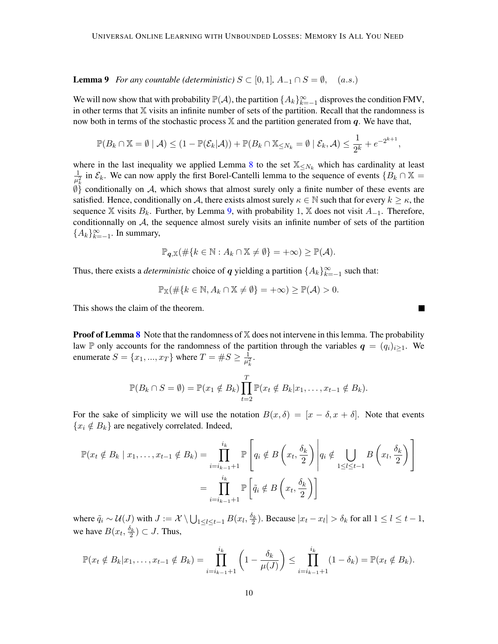**Lemma 9** *For any countable (deterministic)*  $S \subset [0,1]$ ,  $A_{-1} \cap S = \emptyset$ , (a.s.)

We will now show that with probability  $\mathbb{P}(\mathcal{A})$ , the partition  $\{A_k\}_{k=-1}^{\infty}$  disproves the condition FMV, in other terms that  $X$  visits an infinite number of sets of the partition. Recall that the randomness is now both in terms of the stochastic process  $X$  and the partition generated from q. We have that,

$$
\mathbb{P}(B_k \cap \mathbb{X} = \emptyset \mid \mathcal{A}) \le (1 - \mathbb{P}(\mathcal{E}_k|\mathcal{A})) + \mathbb{P}(B_k \cap \mathbb{X}_{\leq N_k} = \emptyset \mid \mathcal{E}_k, \mathcal{A}) \leq \frac{1}{2^k} + e^{-2^{k+1}},
$$

where in the last inequality we applied Lemma [8](#page-8-0) to the set  $\mathbb{X}_{\leq N_k}$  which has cardinality at least 1  $\frac{1}{\mu_k^2}$  in  $\mathcal{E}_k$ . We can now apply the first Borel-Cantelli lemma to the sequence of events  $\{B_k \cap \mathbb{X} =$  $\emptyset$ } conditionally on A, which shows that almost surely only a finite number of these events are satisfied. Hence, conditionally on A, there exists almost surely  $\kappa \in \mathbb{N}$  such that for every  $k \geq \kappa$ , the sequence X visits  $B_k$ . Further, by Lemma [9,](#page-8-1) with probability 1, X does not visit  $A_{-1}$ . Therefore, conditionnally on A, the sequence almost surely visits an infinite number of sets of the partition { $A_k$ }<sup>∞</sup><sub> $k=-1$ </sub>. In summary,

$$
\mathbb{P}_{q,\mathbb{X}}(\#\{k\in\mathbb{N}:A_k\cap\mathbb{X}\neq\emptyset\}=+\infty)\geq\mathbb{P}(\mathcal{A}).
$$

Thus, there exists a *deterministic* choice of q yielding a partition  $\{A_k\}_{k=-1}^{\infty}$  such that:

$$
\mathbb{P}_{\mathbb{X}}(\#\{k \in \mathbb{N}, A_k \cap \mathbb{X} \neq \emptyset\} = +\infty) \geq \mathbb{P}(\mathcal{A}) > 0.
$$

This shows the claim of the theorem.

**Proof of Lemma [8](#page-8-0)** Note that the randomness of  $X$  does not intervene in this lemma. The probability law P only accounts for the randomness of the partition through the variables  $q = (q_i)_{i>1}$ . We enumerate  $S = \{x_1, ..., x_T\}$  where  $T = \#S \ge \frac{1}{n^2}$  $\frac{1}{\mu_k^2}$ .

$$
\mathbb{P}(B_k \cap S = \emptyset) = \mathbb{P}(x_1 \notin B_k) \prod_{t=2}^T \mathbb{P}(x_t \notin B_k | x_1, \ldots, x_{t-1} \notin B_k).
$$

For the sake of simplicity we will use the notation  $B(x, \delta) = [x - \delta, x + \delta]$ . Note that events  ${x_i \notin B_k}$  are negatively correlated. Indeed,

$$
\mathbb{P}(x_t \notin B_k \mid x_1, \dots, x_{t-1} \notin B_k) = \prod_{i=i_{k-1}+1}^{i_k} \mathbb{P}\left[q_i \notin B\left(x_t, \frac{\delta_k}{2}\right) \middle| q_i \notin \bigcup_{1 \leq l \leq t-1} B\left(x_l, \frac{\delta_k}{2}\right)\right]
$$

$$
= \prod_{i=i_{k-1}+1}^{i_k} \mathbb{P}\left[\tilde{q}_i \notin B\left(x_t, \frac{\delta_k}{2}\right)\right]
$$

where  $\tilde{q}_i \sim \mathcal{U}(J)$  with  $J := \mathcal{X} \setminus \bigcup_{1 \leq l \leq t-1} B(x_l, \frac{\delta_k}{2})$ . Because  $|x_t - x_l| > \delta_k$  for all  $1 \leq l \leq t-1$ , we have  $B(x_t, \frac{\delta_k}{2}) \subset J$ . Thus,

$$
\mathbb{P}(x_t \notin B_k | x_1, \dots, x_{t-1} \notin B_k) = \prod_{i=i_{k-1}+1}^{i_k} \left(1 - \frac{\delta_k}{\mu(J)}\right) \leq \prod_{i=i_{k-1}+1}^{i_k} (1 - \delta_k) = \mathbb{P}(x_t \notin B_k).
$$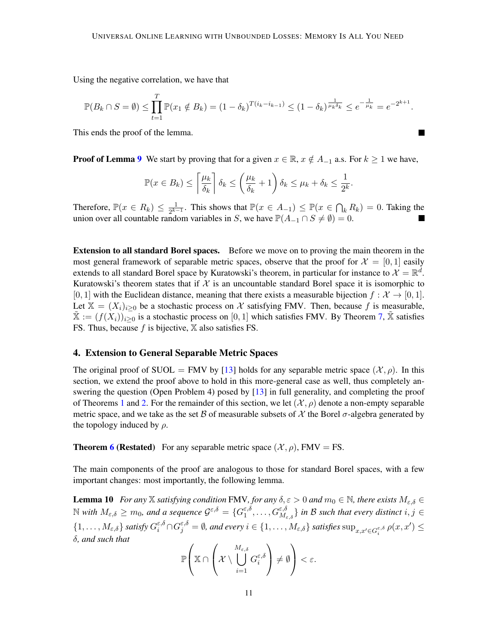Using the negative correlation, we have that

$$
\mathbb{P}(B_k \cap S = \emptyset) \le \prod_{t=1}^T \mathbb{P}(x_1 \notin B_k) = (1 - \delta_k)^{T(i_k - i_{k-1})} \le (1 - \delta_k)^{\frac{1}{\mu_k \delta_k}} \le e^{-\frac{1}{\mu_k}} = e^{-2^{k+1}}.
$$

 $\blacksquare$ 

This ends the proof of the lemma.

**Proof of Lemma [9](#page-8-1)** We start by proving that for a given  $x \in \mathbb{R}$ ,  $x \notin A_{-1}$  a.s. For  $k \ge 1$  we have,

$$
\mathbb{P}(x \in B_k) \le \left\lceil \frac{\mu_k}{\delta_k} \right\rceil \delta_k \le \left(\frac{\mu_k}{\delta_k} + 1\right) \delta_k \le \mu_k + \delta_k \le \frac{1}{2^k}.
$$

Therefore,  $\mathbb{P}(x \in R_k) \leq \frac{1}{2^{k-1}}$  $\frac{1}{2^{k-1}}$ . This shows that  $\mathbb{P}(x \in A_{-1}) \leq \mathbb{P}(x \in \bigcap_k R_k) = 0$ . Taking the union over all countable random variables in S, we have  $\mathbb{P}(A_{-1} \cap S \neq \emptyset) = 0$ .

Extension to all standard Borel spaces. Before we move on to proving the main theorem in the most general framework of separable metric spaces, observe that the proof for  $\mathcal{X} = [0, 1]$  easily extends to all standard Borel space by Kuratowski's theorem, in particular for instance to  $\mathcal{X} = \mathbb{R}^d$ . Kuratowski's theorem states that if  $\mathcal X$  is an uncountable standard Borel space it is isomorphic to [0, 1] with the Euclidean distance, meaning that there exists a measurable bijection  $f : \mathcal{X} \to [0, 1]$ . Let  $X = (X_i)_{i>0}$  be a stochastic process on X satisfying FMV. Then, because f is measurable,  $X := (f(X_i))_{i \geq 0}$  is a stochastic process on [0, 1] which satisfies FMV. By Theorem [7,](#page-8-2)  $\tilde{X}$  satisfies FS. Thus, because  $f$  is bijective,  $X$  also satisfies FS.

# <span id="page-10-0"></span>4. Extension to General Separable Metric Spaces

The original proof of SUOL = FMV by [\[13\]](#page-16-0) holds for any separable metric space  $(\mathcal{X}, \rho)$ . In this section, we extend the proof above to hold in this more-general case as well, thus completely answering the question (Open Problem 4) posed by [\[13\]](#page-16-0) in full generality, and completing the proof of Theorems [1](#page-2-0) and [2.](#page-2-1) For the remainder of this section, we let  $(\mathcal{X}, \rho)$  denote a non-empty separable metric space, and we take as the set B of measurable subsets of X the Borel  $\sigma$ -algebra generated by the topology induced by  $\rho$ .

**Theorem [6](#page-7-1) (Restated)** For any separable metric space  $(\mathcal{X}, \rho)$ , FMV = FS.

The main components of the proof are analogous to those for standard Borel spaces, with a few important changes: most importantly, the following lemma.

<span id="page-10-1"></span>**Lemma 10** *For any* X *satisfying condition* FMV, for any  $\delta, \epsilon > 0$  and  $m_0 \in \mathbb{N}$ , there exists  $M_{\epsilon,\delta} \in$  $\mathbb N$  with  $M_{\varepsilon,\delta} \geq m_0$ , and a sequence  $\mathcal G^{\varepsilon,\delta} = \{G_1^{\varepsilon,\delta}$  $\{f_1^{\varepsilon,\delta},\ldots,G_{M_{\varepsilon,\delta}}^{\varepsilon,\delta}\}$  in  $\mathcal B$  such that every distinct  $i,j\in\mathcal S$  $\{1,\ldots,M_{\varepsilon,\delta}\}\text{ satisfy }G_i^{\varepsilon,\delta}\cap G_j^{\varepsilon,\delta}=\emptyset\text{, and every }i\in\{1,\ldots,M_{\varepsilon,\delta}\}\text{ satisfies } \sup_{x,x'\in G_i^{\varepsilon,\delta}}\rho(x,x')\leq$ δ*, and such that*

$$
\mathbb{P}\left(\mathbb{X}\cap\left(\mathcal{X}\setminus\bigcup_{i=1}^{M_{\varepsilon,\delta}}G_i^{\varepsilon,\delta}\right)\neq\emptyset\right)<\varepsilon.
$$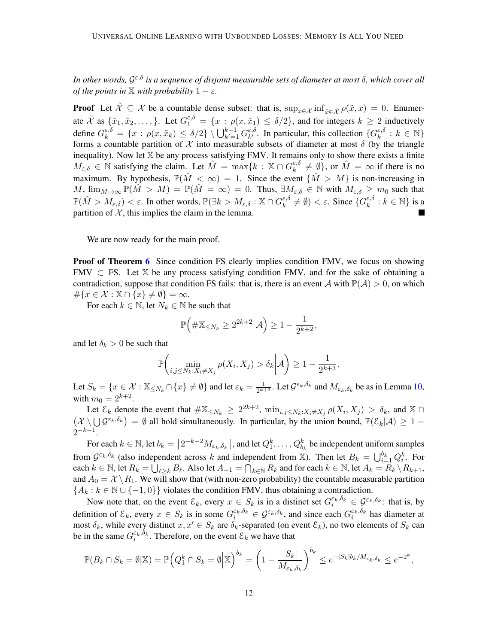*In other words,* G ε,δ *is a sequence of disjoint measurable sets of diameter at most* δ*, which cover all of the points in*  $\mathbb{X}$  *with probability*  $1 - \varepsilon$ *.* 

**Proof** Let  $\tilde{\mathcal{X}} \subseteq \mathcal{X}$  be a countable dense subset: that is,  $\sup_{x \in \tilde{\mathcal{X}}} \inf_{\tilde{x} \in \tilde{\mathcal{X}}} \rho(\tilde{x}, x) = 0$ . Enumerate  $\tilde{\mathcal{X}}$  as  $\{\tilde{x}_1, \tilde{x}_2, \ldots\}$ . Let  $G_1^{\varepsilon, \delta} = \{x : \rho(x, \tilde{x}_1) \le \delta/2\}$ , and for integers  $k \ge 2$  inductively define  $G_k^{\varepsilon,\delta} = \{x : \rho(x,\tilde{x}_k) \le \delta/2\} \setminus \bigcup_{k'=1}^{k-1} G_{k'}^{\varepsilon,\delta}$  $\epsilon, \delta$ . In particular, this collection  $\{G_k^{\epsilon, \delta}\}\$  $\frac{\varepsilon, \delta}{k} : k \in \mathbb{N} \}$ forms a countable partition of  $\mathcal X$  into measurable subsets of diameter at most  $\delta$  (by the triangle inequality). Now let  $X$  be any process satisfying FMV. It remains only to show there exists a finite  $M_{\varepsilon,\delta} \in \mathbb{N}$  satisfying the claim. Let  $\hat{M} = \max\{k : \mathbb{X} \cap G_k^{\varepsilon,\delta}\}$  $\epsilon_{k}^{\varepsilon,\delta} \neq \emptyset$ , or  $\hat{M} = \infty$  if there is no maximum. By hypothesis,  $\mathbb{P}(\hat{M} < \infty) = 1$ . Since the event  $\{\hat{M} > M\}$  is non-increasing in M,  $\lim_{M\to\infty} \mathbb{P}(\hat{M} > M) = \mathbb{P}(\hat{M} = \infty) = 0$ . Thus,  $\exists M_{\varepsilon,\delta} \in \mathbb{N}$  with  $M_{\varepsilon,\delta} \geq m_0$  such that  $\mathbb{P}(\hat{M}>M_{\varepsilon,\delta})<\varepsilon.$  In other words,  $\mathbb{P}(\exists k>M_{\varepsilon,\delta}:\mathbb{X}\cap G_{k}^{\varepsilon,\delta})$  $\epsilon^{\varepsilon,\delta}_{k} \neq \emptyset$   $< \varepsilon$ . Since  $\{G^{\varepsilon,\delta}_{k}\}$  $\mathbf{x}^{\varepsilon,\delta}_k : k \in \mathbb{N} \}$  is a partition of  $X$ , this implies the claim in the lemma.

We are now ready for the main proof.

**Proof of Theorem [6](#page-7-1)** Since condition FS clearly implies condition FMV, we focus on showing FMV  $\subset$  FS. Let X be any process satisfying condition FMV, and for the sake of obtaining a contradiction, suppose that condition FS fails: that is, there is an event A with  $\mathbb{P}(\mathcal{A}) > 0$ , on which  $\#\{x \in \mathcal{X} : \mathbb{X} \cap \{x\} \neq \emptyset\} = \infty.$ 

For each  $k \in \mathbb{N}$ , let  $N_k \in \mathbb{N}$  be such that

$$
\mathbb{P}\Big(\#\mathbb{X}_{\leq N_k} \geq 2^{2k+2} \Big| \mathcal{A}\Big) \geq 1 - \frac{1}{2^{k+2}},
$$

and let  $\delta_k > 0$  be such that

$$
\mathbb{P}\bigg(\min_{i,j\leq N_k:X_i\neq X_j}\rho(X_i,X_j)>\delta_k\bigg|\mathcal{A}\bigg)\geq 1-\frac{1}{2^{k+3}}.
$$

Let  $S_k = \{x \in \mathcal{X} : \mathbb{X}_{\leq N_k} \cap \{x\} \neq \emptyset\}$  and let  $\varepsilon_k = \frac{1}{2^{k+1}}$  $\frac{1}{2^{k+3}}$ . Let  $\mathcal{G}^{\varepsilon_k,\delta_k}$  and  $M_{\varepsilon_k,\delta_k}$  be as in Lemma [10,](#page-10-1) with  $m_0 = 2^{k+2}$ .

Let  $\mathcal{E}_k$  denote the event that  $\#\mathbb{X}_{\leq N_k} \geq 2^{2k+2}$ ,  $\min_{i,j \leq N_k : X_i \neq X_j} \rho(X_i, X_j) > \delta_k$ , and  $\mathbb{X} \cap$  $(\mathcal{X} \setminus \bigcup \mathcal{G}^{\varepsilon_k,\delta_k}) = \emptyset$  all hold simultaneously. In particular, by the union bound,  $\mathbb{P}(\mathcal{E}_k|\mathcal{A}) \geq 1$  $2^{-k-1}$ .

For each  $k \in \mathbb{N}$ , let  $b_k = \left[2^{-k-2}M_{\varepsilon_k,\delta_k}\right]$ , and let  $Q_1^k,\ldots,Q_{b_k}^k$  be independent uniform samples from  $\mathcal{G}^{\varepsilon_k,\delta_k}$  (also independent across k and independent from X). Then let  $B_k = \bigcup_{i=1}^{b_k} Q_i^k$ . For each  $k \in \mathbb{N}$ , let  $R_k = \bigcup_{\ell \geq k} B_\ell$ . Also let  $A_{-1} = \bigcap_{k \in \mathbb{N}} R_k$  and for each  $k \in \mathbb{N}$ , let  $A_k = R_k \setminus R_{k+1}$ , and  $A_0 = \mathcal{X} \setminus R_1$ . We will show that (with non-zero probability) the countable measurable partition  ${A_k : k \in \mathbb{N} \cup \{-1,0\}}$  violates the condition FMV, thus obtaining a contradiction.

Now note that, on the event  $\mathcal{E}_k$ , every  $x \in S_k$  is in a distinct set  $G_i^{\varepsilon_k, \delta_k} \in \mathcal{G}^{\varepsilon_k, \delta_k}$ : that is, by definition of  $\mathcal{E}_k$ , every  $x \in S_k$  is in some  $G_i^{\varepsilon_k, \delta_k} \in \mathcal{G}^{\varepsilon_k, \delta_k}$ , and since each  $G_i^{\varepsilon_k, \delta_k}$  has diameter at most  $\delta_k$ , while every distinct  $x, x' \in S_k$  are  $\delta_k$ -separated (on event  $\mathcal{E}_k$ ), no two elements of  $S_k$  can be in the same  $G_i^{\varepsilon_k, \delta_k}$ . Therefore, on the event  $\mathcal{E}_k$  we have that

$$
\mathbb{P}(B_k \cap S_k = \emptyset | \mathbb{X}) = \mathbb{P}\Big(Q_1^k \cap S_k = \emptyset \Big| \mathbb{X}\Big)^{b_k} = \left(1 - \frac{|S_k|}{M_{\varepsilon_k, \delta_k}}\right)^{b_k} \le e^{-|S_k|b_k/M_{\varepsilon_k, \delta_k}} \le e^{-2^k},
$$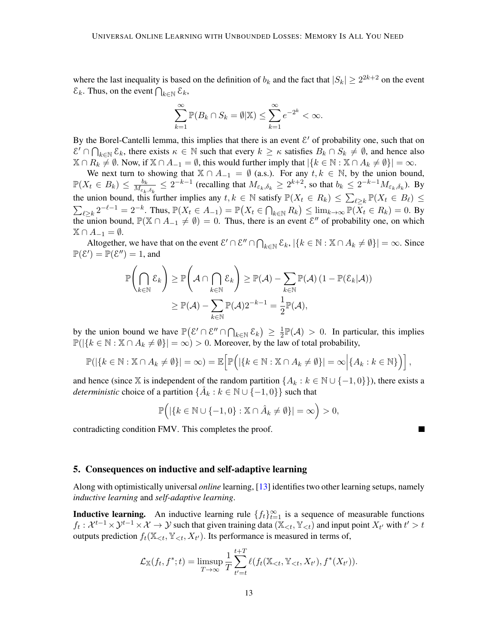where the last inequality is based on the definition of  $b_k$  and the fact that  $|S_k| \geq 2^{2k+2}$  on the event  $\mathcal{E}_k$ . Thus, on the event  $\bigcap_{k\in\mathbb{N}}\mathcal{E}_k$ ,

$$
\sum_{k=1}^{\infty} \mathbb{P}(B_k \cap S_k = \emptyset | \mathbb{X}) \le \sum_{k=1}^{\infty} e^{-2^k} < \infty.
$$

By the Borel-Cantelli lemma, this implies that there is an event  $\mathcal{E}'$  of probability one, such that on  $\mathcal{E}' \cap \bigcap_{k \in \mathbb{N}} \mathcal{E}_k$ , there exists  $\kappa \in \mathbb{N}$  such that every  $k \geq \kappa$  satisfies  $B_k \cap S_k \neq \emptyset$ , and hence also  $\mathbb{X} \cap R_k \neq \emptyset$ . Now, if  $\mathbb{X} \cap A_{-1} = \emptyset$ , this would further imply that  $|\{k \in \mathbb{N} : \mathbb{X} \cap A_k \neq \emptyset\}| = \infty$ .

We next turn to showing that  $\mathbb{X} \cap A_{-1} = \emptyset$  (a.s.). For any  $t, k \in \mathbb{N}$ , by the union bound,  $\mathbb{P}(X_t \in B_k) \leq \frac{b_k}{M_s}$  $\frac{b_k}{M_{\varepsilon_k,\delta_k}} \leq 2^{-k-1}$  (recalling that  $M_{\varepsilon_k,\delta_k} \geq 2^{k+2}$ , so that  $b_k \leq 2^{-k-1} M_{\varepsilon_k,\delta_k}$ ). By the union bound, this further implies any  $t, k \in \mathbb{N}$  satisfy  $\mathbb{P}(X_t \in R_k) \leq \sum_{\ell \geq k} \mathbb{P}(X_t \in B_\ell) \leq$  $\sum_{\ell \geq k} 2^{-\ell-1} = 2^{-k}$ . Thus,  $\mathbb{P}(X_t \in A_{-1}) = \mathbb{P}(X_t \in \bigcap_{k \in \mathbb{N}} R_k) \leq \lim_{k \to \infty} \mathbb{P}(\overline{X}_t \in R_k) = 0$ . By the union bound,  $\mathbb{P}(\mathbb{X} \cap A_{-1} \neq \emptyset) = 0$ . Thus, there is an event  $\mathcal{E}''$  of probability one, on which  $\mathbb{X} \cap A_{-1} = \emptyset.$ 

Altogether, we have that on the event  $\mathcal{E}' \cap \mathcal{E}'' \cap \bigcap_{k \in \mathbb{N}} \mathcal{E}_k$ ,  $|\{k \in \mathbb{N} : \mathbb{X} \cap A_k \neq \emptyset\}| = \infty$ . Since  $\mathbb{P}(\mathcal{E}') = \mathbb{P}(\mathcal{E}'') = 1$ , and

$$
\mathbb{P}\left(\bigcap_{k\in\mathbb{N}}\mathcal{E}_k\right) \geq \mathbb{P}\left(\mathcal{A}\cap\bigcap_{k\in\mathbb{N}}\mathcal{E}_k\right) \geq \mathbb{P}(\mathcal{A}) - \sum_{k\in\mathbb{N}}\mathbb{P}(\mathcal{A})\left(1 - \mathbb{P}(\mathcal{E}_k|\mathcal{A})\right)
$$

$$
\geq \mathbb{P}(\mathcal{A}) - \sum_{k\in\mathbb{N}}\mathbb{P}(\mathcal{A})2^{-k-1} = \frac{1}{2}\mathbb{P}(\mathcal{A}),
$$

by the union bound we have  $\mathbb{P}(\mathcal{E}' \cap \mathcal{E}'' \cap \bigcap_{k \in \mathbb{N}} \mathcal{E}_k) \geq \frac{1}{2}$  $\frac{1}{2}\mathbb{P}(\mathcal{A}) > 0$ . In particular, this implies  $\mathbb{P}(|\{k \in \mathbb{N} : \mathbb{X} \cap A_k \neq \emptyset\}| = \infty) > 0$ . Moreover, by the law of total probability,

$$
\mathbb{P}(|\{k \in \mathbb{N} : \mathbb{X} \cap A_k \neq \emptyset\}| = \infty) = \mathbb{E}\Big[\mathbb{P}\Big(|\{k \in \mathbb{N} : \mathbb{X} \cap A_k \neq \emptyset\}| = \infty \Big|\{A_k : k \in \mathbb{N}\}\Big)\Big],
$$

and hence (since X is independent of the random partition  $\{A_k : k \in \mathbb{N} \cup \{-1,0\}\}\)$ , there exists a *deterministic* choice of a partition  $\{\hat{A}_k : k \in \mathbb{N} \cup \{-1,0\}\}\)$  such that

$$
\mathbb{P}\Big(|\{k \in \mathbb{N} \cup \{-1,0\} : \mathbb{X} \cap \hat{A}_k \neq \emptyset\}| = \infty\Big) > 0,
$$

contradicting condition FMV. This completes the proof.

#### <span id="page-12-0"></span>5. Consequences on inductive and self-adaptive learning

Along with optimistically universal *online* learning, [\[13\]](#page-16-0) identifies two other learning setups, namely *inductive learning* and *self-adaptive learning*.

**Inductive learning.** An inductive learning rule  $\{f_t\}_{t=1}^{\infty}$  is a sequence of measurable functions  $f_t: \mathcal{X}^{t-1}\times\mathcal{Y}^{t-1}\times\mathcal{X}\to\mathcal{Y}$  such that given training data  $(\mathbb{X}_{\leq t}, \mathbb{Y}_{\leq t})$  and input point  $X_{t'}$  with  $t'>t$ outputs prediction  $f_t(\mathbb{X}_{\leq t}, \mathbb{Y}_{\leq t}, X_{t'})$ . Its performance is measured in terms of,

$$
\mathcal{L}_{\mathbb{X}}(f_t, f^*; t) = \limsup_{T \to \infty} \frac{1}{T} \sum_{t'=t}^{t+T} \ell(f_t(\mathbb{X}_{< t}, \mathbb{Y}_{< t}, X_{t'}), f^*(X_{t'})).
$$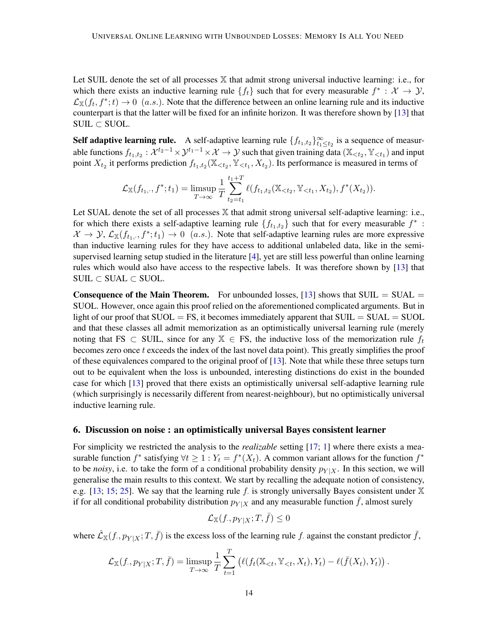Let SUIL denote the set of all processes  $X$  that admit strong universal inductive learning: i.e., for which there exists an inductive learning rule  $\{f_t\}$  such that for every measurable  $f^* : \mathcal{X} \to \mathcal{Y}$ ,  $\mathcal{L}_X(f_t, f^*; t) \to 0$  (a.s.). Note that the difference between an online learning rule and its inductive counterpart is that the latter will be fixed for an infinite horizon. It was therefore shown by [\[13\]](#page-16-0) that  $SULL \subset SUOL$ .

**Self adaptive learning rule.** A self-adaptive learning rule  $\{f_{t_1,t_2}\}_{t_1 \leq t_2}^{\infty}$  is a sequence of measurable functions  $f_{t_1,t_2}: \mathcal{X}^{t_2-1}\times\mathcal{Y}^{t_1-1}\times\mathcal{X}\to\mathcal{Y}$  such that given training data  $(\mathbb{X}_{\leq t_2}, \mathbb{Y}_{\leq t_1})$  and input point  $X_{t_2}$  it performs prediction  $f_{t_1,t_2}(\mathbb{X}_{< t_2}, \mathbb{Y}_{< t_1}, X_{t_2})$ . Its performance is measured in terms of

$$
\mathcal{L}_{\mathbb{X}}(f_{t_1,\cdot},f^*;t_1) = \limsup_{T \to \infty} \frac{1}{T} \sum_{t_2=t_1}^{t_1+T} \ell(f_{t_1,t_2}(\mathbb{X}_{< t_2}, \mathbb{Y}_{< t_1}, X_{t_2}), f^*(X_{t_2})).
$$

Let SUAL denote the set of all processes  $X$  that admit strong universal self-adaptive learning: i.e., for which there exists a self-adaptive learning rule  $\{f_{t_1,t_2}\}$  such that for every measurable  $f^*$ :  $\mathcal{X} \to \mathcal{Y}, \mathcal{L}_{\mathbb{X}}(f_{t_1,\cdot}, f^*; t_1) \to 0$  (*a.s.*). Note that self-adaptive learning rules are more expressive than inductive learning rules for they have access to additional unlabeled data, like in the semisupervised learning setup studied in the literature [\[4\]](#page-16-11), yet are still less powerful than online learning rules which would also have access to the respective labels. It was therefore shown by [\[13\]](#page-16-0) that  $SULL \subset SUAL \subset SUOL$ .

**Consequence of the Main Theorem.** For unbounded losses,  $[13]$  shows that SUIL = SUAL = SUOL. However, once again this proof relied on the aforementioned complicated arguments. But in light of our proof that  $SUOL = FS$ , it becomes immediately apparent that  $SUIL = SUAL = SUOL$ and that these classes all admit memorization as an optimistically universal learning rule (merely noting that FS  $\subset$  SUIL, since for any  $\mathbb{X} \in$  FS, the inductive loss of the memorization rule  $f_t$ becomes zero once  $t$  exceeds the index of the last novel data point). This greatly simplifies the proof of these equivalences compared to the original proof of  $[13]$ . Note that while these three setups turn out to be equivalent when the loss is unbounded, interesting distinctions do exist in the bounded case for which [\[13\]](#page-16-0) proved that there exists an optimistically universal self-adaptive learning rule (which surprisingly is necessarily different from nearest-neighbour), but no optimistically universal inductive learning rule.

#### <span id="page-13-0"></span>6. Discussion on noise : an optimistically universal Bayes consistent learner

For simplicity we restricted the analysis to the *realizable* setting [\[17;](#page-17-1) [1\]](#page-16-1) where there exists a measurable function  $f^*$  satisfying  $\forall t \geq 1 : Y_t = f^*(X_t)$ . A common variant allows for the function  $f^*$ to be *noisy*, i.e. to take the form of a conditional probability density  $p_{Y|X}$ . In this section, we will generalise the main results to this context. We start by recalling the adequate notion of consistency, e.g. [\[13;](#page-16-0) [15;](#page-17-12) [25\]](#page-17-13). We say that the learning rule f. is strongly universally Bayes consistent under  $X$ if for all conditional probability distribution  $p_{Y|X}$  and any measurable function f, almost surely

$$
\mathcal{L}_{\mathbb{X}}(f_{\cdot}, p_{Y|X}; T, \bar{f}) \le 0
$$

where  $\mathcal{L}_{X}(f, p_{Y|X}; T, \bar{f})$  is the excess loss of the learning rule f. against the constant predictor  $\bar{f}$ ,

$$
\mathcal{L}_{\mathbb{X}}(f, p_{Y|X}; T, \bar{f}) = \limsup_{T \to \infty} \frac{1}{T} \sum_{t=1}^T \left( \ell(f_t(\mathbb{X}_{< t}, \mathbb{Y}_{< t}, X_t), Y_t) - \ell(\bar{f}(X_t), Y_t) \right).
$$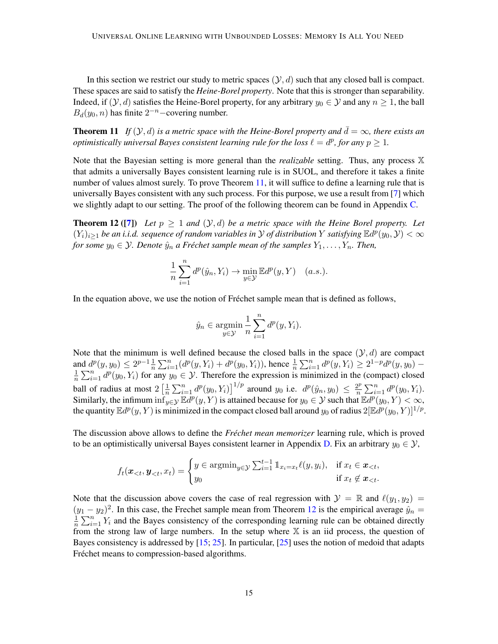In this section we restrict our study to metric spaces  $(\mathcal{Y}, d)$  such that any closed ball is compact. These spaces are said to satisfy the *Heine-Borel property*. Note that this is stronger than separability. Indeed, if  $(\mathcal{Y}, d)$  satisfies the Heine-Borel property, for any arbitrary  $y_0 \in \mathcal{Y}$  and any  $n \geq 1$ , the ball  $B_d(y_0, n)$  has finite  $2^{-n}$  – covering number.

<span id="page-14-0"></span>**Theorem 11** *If*  $(Y, d)$  *is a metric space with the Heine-Borel property and*  $\bar{d} = \infty$ *, there exists an optimistically universal Bayes consistent learning rule for the loss*  $\ell = d^p$ *, for any*  $p \geq 1$ *.* 

Note that the Bayesian setting is more general than the *realizable* setting. Thus, any process X that admits a universally Bayes consistent learning rule is in SUOL, and therefore it takes a finite number of values almost surely. To prove Theorem [11,](#page-14-0) it will suffice to define a learning rule that is universally Bayes consistent with any such process. For this purpose, we use a result from [\[7\]](#page-16-12) which we slightly adapt to our setting. The proof of the following theorem can be found in Appendix [C.](#page-19-0)

**Theorem 12 ([\[7\]](#page-16-12))** Let  $p \ge 1$  and  $(\mathcal{Y}, d)$  be a metric space with the Heine Borel property. Let  $(Y_i)_{i\geq 1}$  *be an i.i.d. sequence of random variables in*  $Y$  *of distribution*  $Y$  *satisfying*  $\mathbb{E}d^p(y_0, Y) < \infty$ *for some*  $y_0 \in \mathcal{Y}$ *. Denote*  $\hat{y}_n$  *a Fréchet sample mean of the samples*  $Y_1, \ldots, Y_n$ *. Then,* 

$$
\frac{1}{n}\sum_{i=1}^{n} d^{p}(\hat{y}_{n}, Y_{i}) \to \min_{y \in \mathcal{Y}} \mathbb{E}d^{p}(y, Y) \quad (a.s.).
$$

In the equation above, we use the notion of Fréchet sample mean that is defined as follows,

<span id="page-14-1"></span>
$$
\hat{y}_n \in \operatorname*{argmin}_{y \in \mathcal{Y}} \frac{1}{n} \sum_{i=1}^n d^p(y, Y_i).
$$

Note that the minimum is well defined because the closed balls in the space  $(\mathcal{Y}, d)$  are compact and  $d^p(y, y_0) \leq 2^{p-1} \frac{1}{n} \sum_{i=1}^n (d^p(y, Y_i) + d^p(y_0, Y_i))$ , hence  $\frac{1}{n} \sum_{i=1}^n d^p(y, Y_i) \geq 2^{1-p} d^p(y, y_0) -$ <br> $\frac{1}{n} \sum_{i=1}^n d^p(y, Y_i) \geq 2^{1-p} d^p(y, y_0) \frac{1}{n}\sum_{i=1}^n d^p(y_0, Y_i)$  for any  $y_0 \in \mathcal{Y}$ . Therefore the expression is minimized in the (compact) closed ball of radius at most  $2\left[\frac{1}{n}\right]$  $\frac{1}{n}\sum_{i=1}^{n} d^{p}(y_0, Y_i)$ <sup>1/p</sup> around  $y_0$  i.e.  $d^{p}(\hat{y}_n, y_0) \leq \frac{2^{p}}{n}$  $\frac{2^p}{n} \sum_{i=1}^n d^p(y_0, Y_i).$ Similarly, the infimum  $\inf_{y \in \mathcal{Y}} \mathbb{E} d^p(y, Y)$  is attained because for  $y_0 \in \mathcal{Y}$  such that  $\mathbb{E} d^p(y_0, Y) < \infty$ , the quantity  $\mathbb{E}d^p(y,Y)$  is minimized in the compact closed ball around  $y_0$  of radius  $2[\mathbb{E}d^p(y_0,Y)]^{1/p}$ .

The discussion above allows to define the *Fréchet mean memorizer* learning rule, which is proved to be an optimistically universal Bayes consistent learner in Appendix [D.](#page-20-1) Fix an arbitrary  $y_0 \in \mathcal{Y}$ ,

$$
f_t(\boldsymbol{x}_{< t}, \boldsymbol{y}_{< t}, x_t) = \begin{cases} y \in \operatorname{argmin}_{y \in \mathcal{Y}} \sum_{i=1}^{t-1} \mathbb{1}_{x_i = x_t} \ell(y, y_i), & \text{if } x_t \in \boldsymbol{x}_{< t}, \\ y_0 & \text{if } x_t \notin \boldsymbol{x}_{< t}. \end{cases}
$$

Note that the discussion above covers the case of real regression with  $\mathcal{Y} = \mathbb{R}$  and  $\ell(y_1, y_2) =$  $(y_1 - y_2)^2$ . In this case, the Frechet sample mean from Theorem [12](#page-14-1) is the empirical average  $\hat{y}_n =$ 1  $\frac{1}{n}\sum_{i=1}^{n} Y_i$  and the Bayes consistency of the corresponding learning rule can be obtained directly from the strong law of large numbers. In the setup where  $X$  is an iid process, the question of Bayes consistency is addressed by [\[15;](#page-17-12) [25\]](#page-17-13). In particular, [\[25\]](#page-17-13) uses the notion of medoid that adapts Fréchet means to compression-based algorithms.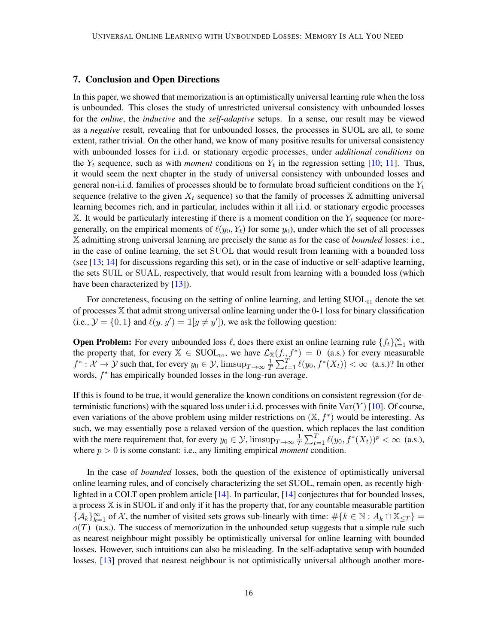# <span id="page-15-0"></span>7. Conclusion and Open Directions

In this paper, we showed that memorization is an optimistically universal learning rule when the loss is unbounded. This closes the study of unrestricted universal consistency with unbounded losses for the *online*, the *inductive* and the *self-adaptive* setups. In a sense, our result may be viewed as a *negative* result, revealing that for unbounded losses, the processes in SUOL are all, to some extent, rather trivial. On the other hand, we know of many positive results for universal consistency with unbounded losses for i.i.d. or stationary ergodic processes, under *additional conditions* on the  $Y_t$  sequence, such as with *moment* conditions on  $Y_t$  in the regression setting [\[10;](#page-16-5) [11\]](#page-16-6). Thus, it would seem the next chapter in the study of universal consistency with unbounded losses and general non-i.i.d. families of processes should be to formulate broad sufficient conditions on the  $Y_t$ sequence (relative to the given  $X_t$  sequence) so that the family of processes  $X$  admitting universal learning becomes rich, and in particular, includes within it all i.i.d. or stationary ergodic processes X. It would be particularly interesting if there is a moment condition on the  $Y_t$  sequence (or moregenerally, on the empirical moments of  $\ell(y_0, Y_t)$  for some  $y_0$ ), under which the set of all processes X admitting strong universal learning are precisely the same as for the case of *bounded* losses: i.e., in the case of online learning, the set SUOL that would result from learning with a bounded loss (see  $[13; 14]$  $[13; 14]$  $[13; 14]$  for discussions regarding this set), or in the case of inductive or self-adaptive learning, the sets SUIL or SUAL, respectively, that would result from learning with a bounded loss (which have been characterized by [\[13\]](#page-16-0)).

For concreteness, focusing on the setting of online learning, and letting  $\text{SUOL}_{01}$  denote the set of processes X that admit strong universal online learning under the 0-1 loss for binary classification (i.e.,  $\mathcal{Y} = \{0, 1\}$  and  $\ell(y, y') = \mathbb{1}[y \neq y']$ ), we ask the following question:

**Open Problem:** For every unbounded loss  $\ell$ , does there exist an online learning rule  $\{f_t\}_{t=1}^{\infty}$  with the property that, for every  $\mathbb{X} \in \text{SUOL}_{01}$ , we have  $\mathcal{L}_{\mathbb{X}}(f, f^*) = 0$  (a.s.) for every measurable  $f^*:\mathcal{X}\to\mathcal{Y}$  such that, for every  $y_0\in\mathcal{Y}$ ,  $\limsup_{T\to\infty}\frac{1}{T}$  $\frac{1}{T} \sum_{t=1}^{T} \ell(y_0, f^*(X_t)) < \infty$  (a.s.)? In other words,  $f^*$  has empirically bounded losses in the long-run average.

If this is found to be true, it would generalize the known conditions on consistent regression (for deterministic functions) with the squared loss under i.i.d. processes with finite  $\text{Var}(Y)$  [\[10\]](#page-16-5). Of course, even variations of the above problem using milder restrictions on  $(\mathbb{X}, f^*)$  would be interesting. As such, we may essentially pose a relaxed version of the question, which replaces the last condition with the mere requirement that, for every  $y_0 \in \mathcal{Y}$ ,  $\limsup_{T \to \infty} \frac{1}{T}$  $\frac{1}{T} \sum_{t=1}^{T} \ell(y_0, f^*(X_t))^p < \infty$  (a.s.), where  $p > 0$  is some constant: i.e., any limiting empirical *moment* condition.

In the case of *bounded* losses, both the question of the existence of optimistically universal online learning rules, and of concisely characterizing the set SUOL, remain open, as recently highlighted in a COLT open problem article [\[14\]](#page-17-0). In particular, [\[14\]](#page-17-0) conjectures that for bounded losses, a process X is in SUOL if and only if it has the property that, for any countable measurable partition  ${A_k}_{k=1}^{\infty}$  of X, the number of visited sets grows sub-linearly with time:  $\#\{k \in \mathbb{N} : A_k \cap \mathbb{X}_{\leq T}\}$  $o(T)$  (a.s.). The success of memorization in the unbounded setup suggests that a simple rule such as nearest neighbour might possibly be optimistically universal for online learning with bounded losses. However, such intuitions can also be misleading. In the self-adaptative setup with bounded losses, [\[13\]](#page-16-0) proved that nearest neighbour is not optimistically universal although another more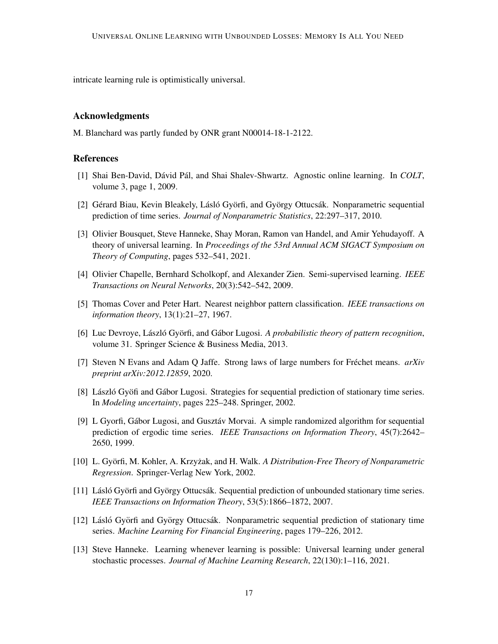intricate learning rule is optimistically universal.

# Acknowledgments

M. Blanchard was partly funded by ONR grant N00014-18-1-2122.

# References

- <span id="page-16-1"></span>[1] Shai Ben-David, Dávid Pál, and Shai Shalev-Shwartz. Agnostic online learning. In *COLT*, volume 3, page 1, 2009.
- <span id="page-16-8"></span>[2] Gérard Biau, Kevin Bleakely, Lásló Györfi, and György Ottucsák. Nonparametric sequential prediction of time series. *Journal of Nonparametric Statistics*, 22:297–317, 2010.
- <span id="page-16-2"></span>[3] Olivier Bousquet, Steve Hanneke, Shay Moran, Ramon van Handel, and Amir Yehudayoff. A theory of universal learning. In *Proceedings of the 53rd Annual ACM SIGACT Symposium on Theory of Computing*, pages 532–541, 2021.
- <span id="page-16-11"></span>[4] Olivier Chapelle, Bernhard Scholkopf, and Alexander Zien. Semi-supervised learning. *IEEE Transactions on Neural Networks*, 20(3):542–542, 2009.
- <span id="page-16-3"></span>[5] Thomas Cover and Peter Hart. Nearest neighbor pattern classification. *IEEE transactions on information theory*, 13(1):21–27, 1967.
- <span id="page-16-4"></span>[6] Luc Devroye, László Györfi, and Gábor Lugosi. A *probabilistic theory of pattern recognition*, volume 31. Springer Science & Business Media, 2013.
- <span id="page-16-12"></span>[7] Steven N Evans and Adam Q Jaffe. Strong laws of large numbers for Fréchet means.  $arXiv$ *preprint arXiv:2012.12859*, 2020.
- <span id="page-16-10"></span>[8] László Gyöfi and Gábor Lugosi. Strategies for sequential prediction of stationary time series. In *Modeling uncertainty*, pages 225–248. Springer, 2002.
- <span id="page-16-9"></span>[9] L Gyorfi, Gábor Lugosi, and Gusztáv Morvai. A simple randomized algorithm for sequential prediction of ergodic time series. *IEEE Transactions on Information Theory*, 45(7):2642– 2650, 1999.
- <span id="page-16-5"></span>[10] L. Györfi, M. Kohler, A. Krzyżak, and H. Walk. *A Distribution-Free Theory of Nonparametric Regression*. Springer-Verlag New York, 2002.
- <span id="page-16-6"></span>[11] Lásló Györfi and György Ottucsák. Sequential prediction of unbounded stationary time series. *IEEE Transactions on Information Theory*, 53(5):1866–1872, 2007.
- <span id="page-16-7"></span>[12] Lásló Györfi and György Ottucsák. Nonparametric sequential prediction of stationary time series. *Machine Learning For Financial Engineering*, pages 179–226, 2012.
- <span id="page-16-0"></span>[13] Steve Hanneke. Learning whenever learning is possible: Universal learning under general stochastic processes. *Journal of Machine Learning Research*, 22(130):1–116, 2021.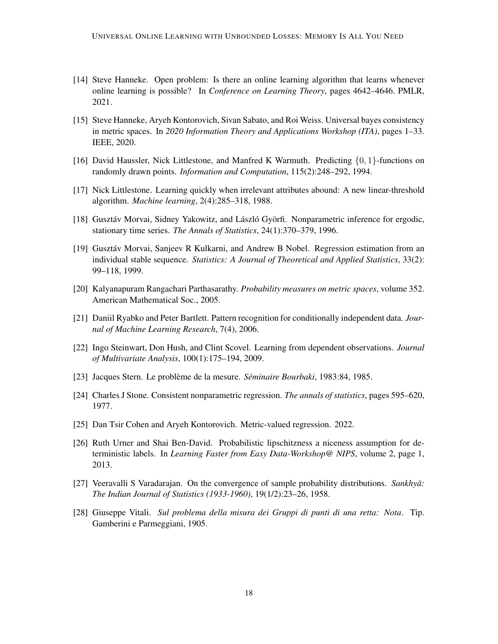- <span id="page-17-0"></span>[14] Steve Hanneke. Open problem: Is there an online learning algorithm that learns whenever online learning is possible? In *Conference on Learning Theory*, pages 4642–4646. PMLR, 2021.
- <span id="page-17-12"></span>[15] Steve Hanneke, Aryeh Kontorovich, Sivan Sabato, and Roi Weiss. Universal bayes consistency in metric spaces. In *2020 Information Theory and Applications Workshop (ITA)*, pages 1–33. IEEE, 2020.
- <span id="page-17-2"></span>[16] David Haussler, Nick Littlestone, and Manfred K Warmuth. Predicting  $\{0, 1\}$ -functions on randomly drawn points. *Information and Computation*, 115(2):248–292, 1994.
- <span id="page-17-1"></span>[17] Nick Littlestone. Learning quickly when irrelevant attributes abound: A new linear-threshold algorithm. *Machine learning*, 2(4):285–318, 1988.
- <span id="page-17-6"></span>[18] Gusztáv Morvai, Sidney Yakowitz, and László Györfi. Nonparametric inference for ergodic, stationary time series. *The Annals of Statistics*, 24(1):370–379, 1996.
- <span id="page-17-7"></span>[19] Gusztav Morvai, Sanjeev R Kulkarni, and Andrew B Nobel. Regression estimation from an ´ individual stable sequence. *Statistics: A Journal of Theoretical and Applied Statistics*, 33(2): 99–118, 1999.
- <span id="page-17-9"></span>[20] Kalyanapuram Rangachari Parthasarathy. *Probability measures on metric spaces*, volume 352. American Mathematical Soc., 2005.
- <span id="page-17-3"></span>[21] Daniil Ryabko and Peter Bartlett. Pattern recognition for conditionally independent data. *Journal of Machine Learning Research*, 7(4), 2006.
- <span id="page-17-8"></span>[22] Ingo Steinwart, Don Hush, and Clint Scovel. Learning from dependent observations. *Journal of Multivariate Analysis*, 100(1):175–194, 2009.
- <span id="page-17-11"></span>[23] Jacques Stern. Le probleme de la mesure. ` *Seminaire Bourbaki ´* , 1983:84, 1985.
- <span id="page-17-5"></span>[24] Charles J Stone. Consistent nonparametric regression. *The annals of statistics*, pages 595–620, 1977.
- <span id="page-17-13"></span>[25] Dan Tsir Cohen and Aryeh Kontorovich. Metric-valued regression. 2022.
- <span id="page-17-4"></span>[26] Ruth Urner and Shai Ben-David. Probabilistic lipschitzness a niceness assumption for deterministic labels. In *Learning Faster from Easy Data-Workshop@ NIPS*, volume 2, page 1, 2013.
- <span id="page-17-14"></span>[27] Veeravalli S Varadarajan. On the convergence of sample probability distributions. *Sankhyā*: *The Indian Journal of Statistics (1933-1960)*, 19(1/2):23–26, 1958.
- <span id="page-17-10"></span>[28] Giuseppe Vitali. *Sul problema della misura dei Gruppi di punti di una retta: Nota*. Tip. Gamberini e Parmeggiani, 1905.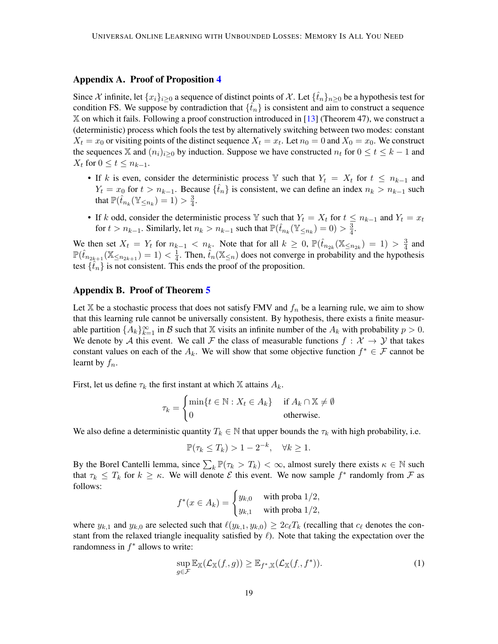#### <span id="page-18-1"></span>Appendix A. Proof of Proposition [4](#page-5-2)

Since X infinite, let  $\{x_i\}_{i\geq 0}$  a sequence of distinct points of X. Let  $\{\hat{t}_n\}_{n\geq 0}$  be a hypothesis test for condition FS. We suppose by contradiction that  $\{\hat{t}_n\}$  is consistent and aim to construct a sequence X on which it fails. Following a proof construction introduced in [\[13\]](#page-16-0) (Theorem 47), we construct a (deterministic) process which fools the test by alternatively switching between two modes: constant  $X_t = x_0$  or visiting points of the distinct sequence  $X_t = x_t$ . Let  $n_0 = 0$  and  $X_0 = x_0$ . We construct the sequences X and  $(n_i)_{i>0}$  by induction. Suppose we have constructed  $n_t$  for  $0 \le t \le k-1$  and  $X_t$  for  $0 \le t \le n_{k-1}$ .

- If k is even, consider the deterministic process Y such that  $Y_t = X_t$  for  $t \leq n_{k-1}$  and  $Y_t = x_0$  for  $t > n_{k-1}$ . Because  $\{\hat{t}_n\}$  is consistent, we can define an index  $n_k > n_{k-1}$  such that  $\mathbb{P}(\hat{t}_{n_k}(\mathbb{Y}_{\leq n_k}) = 1) > \frac{3}{4}$  $\frac{3}{4}$ .
- If k odd, consider the deterministic process Y such that  $Y_t = X_t$  for  $t \le n_{k-1}$  and  $Y_t = x_t$ for  $t > n_{k-1}$ . Similarly, let  $n_k > n_{k-1}$  such that  $\mathbb{P}(\hat{t}_{n_k}(\mathbb{Y}_{\leq n_k}) = 0) > \frac{3}{4}$  $\frac{3}{4}$ .

We then set  $X_t = Y_t$  for  $n_{k-1} < n_k$ . Note that for all  $k \geq 0$ ,  $\mathbb{P}(\hat{t}_{n_{2k}}(\mathbb{X}_{\leq n_{2k}}) = 1) > \frac{3}{4}$  $\frac{3}{4}$  and  $\mathbb{P}(\hat{t}_{n_{2k+1}}(\mathbb{X}_{\leq n_{2k+1}})=1)<\frac{1}{4}$  $\frac{1}{4}$ . Then,  $\hat{t}_n(\mathbb{X}_{\leq n})$  does not converge in probability and the hypothesis test  $\{t_n\}$  is not consistent. This ends the proof of the proposition.

#### <span id="page-18-0"></span>Appendix B. Proof of Theorem [5](#page-6-1)

Let  $X$  be a stochastic process that does not satisfy FMV and  $f_n$  be a learning rule, we aim to show that this learning rule cannot be universally consistent. By hypothesis, there exists a finite measurable partition  $\{A_k\}_{k=1}^{\infty}$  in B such that X visits an infinite number of the  $A_k$  with probability  $p > 0$ . We denote by A this event. We call F the class of measurable functions  $f: \mathcal{X} \to \mathcal{Y}$  that takes constant values on each of the  $A_k$ . We will show that some objective function  $f^* \in \mathcal{F}$  cannot be learnt by  $f_n$ .

First, let us define  $\tau_k$  the first instant at which X attains  $A_k$ .

$$
\tau_k = \begin{cases} \min\{t \in \mathbb{N} : X_t \in A_k\} & \text{if } A_k \cap \mathbb{X} \neq \emptyset \\ 0 & \text{otherwise.} \end{cases}
$$

We also define a deterministic quantity  $T_k \in \mathbb{N}$  that upper bounds the  $\tau_k$  with high probability, i.e.

$$
\mathbb{P}(\tau_k \le T_k) > 1 - 2^{-k}, \quad \forall k \ge 1.
$$

By the Borel Cantelli lemma, since  $\sum_k \mathbb{P}(\tau_k > T_k) < \infty$ , almost surely there exists  $\kappa \in \mathbb{N}$  such that  $\tau_k \leq T_k$  for  $k \geq \kappa$ . We will denote  $\mathcal E$  this event. We now sample  $f^*$  randomly from  $\mathcal F$  as follows:

$$
f^*(x \in A_k) = \begin{cases} y_{k,0} & \text{with proba } 1/2, \\ y_{k,1} & \text{with proba } 1/2, \end{cases}
$$

where  $y_{k,1}$  and  $y_{k,0}$  are selected such that  $\ell(y_{k,1}, y_{k,0}) \geq 2c_{\ell}T_k$  (recalling that  $c_{\ell}$  denotes the constant from the relaxed triangle inequality satisfied by  $\ell$ ). Note that taking the expectation over the randomness in  $f^*$  allows to write:

<span id="page-18-2"></span>
$$
\sup_{g \in \mathcal{F}} \mathbb{E}_{\mathbb{X}}(\mathcal{L}_{\mathbb{X}}(f,g)) \geq \mathbb{E}_{f^*,\mathbb{X}}(\mathcal{L}_{\mathbb{X}}(f,f^*)). \tag{1}
$$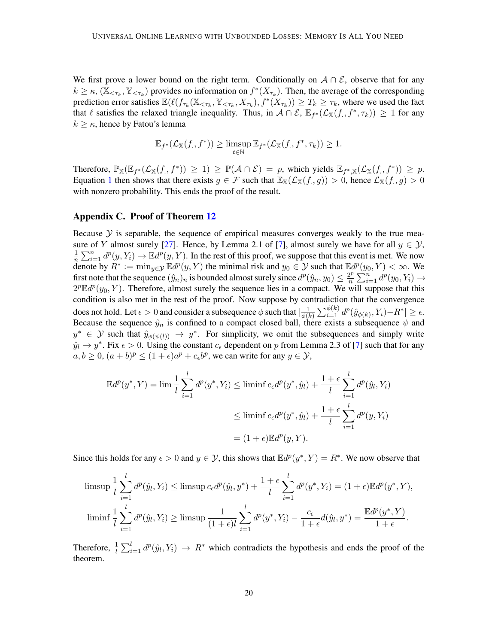We first prove a lower bound on the right term. Conditionally on  $A \cap E$ , observe that for any  $k \geq \kappa$ ,  $(\mathbb{X}_{\leq \tau_k}, \mathbb{Y}_{\leq \tau_k})$  provides no information on  $f^*(X_{\tau_k})$ . Then, the average of the corresponding prediction error satisfies  $\mathbb{E}(\ell(f_{\tau_k}(\mathbb{X}_{\leq \tau_k}, \mathbb{Y}_{\leq \tau_k}, X_{\tau_k}), f^*(X_{\tau_k})) \geq T_k \geq \tau_k$ , where we used the fact that  $\ell$  satisfies the relaxed triangle inequality. Thus, in  $\mathcal{A} \cap \mathcal{E}$ ,  $\mathbb{E}_{f^*}(\mathcal{L}_{\mathbb{X}}(f, f^*, \tau_k)) \geq 1$  for any  $k \geq \kappa$ , hence by Fatou's lemma

$$
\mathbb{E}_{f^*}(\mathcal{L}_{\mathbb{X}}(f,f^*)) \geq \limsup_{t \in \mathbb{N}} \mathbb{E}_{f^*}(\mathcal{L}_{\mathbb{X}}(f,f^*,\tau_k)) \geq 1.
$$

Therefore,  $\mathbb{P}_{\mathbb{X}}(\mathbb{E}_{f^*}(\mathcal{L}_{\mathbb{X}}(f, f^*)) \geq 1) \geq \mathbb{P}(\mathcal{A} \cap \mathcal{E}) = p$ , which yields  $\mathbb{E}_{f^*,\mathbb{X}}(\mathcal{L}_{\mathbb{X}}(f, f^*)) \geq p$ . Equation [1](#page-18-2) then shows that there exists  $g \in \mathcal{F}$  such that  $\mathbb{E}_{\mathbb{X}}(\mathcal{L}_{\mathbb{X}}(f,g)) > 0$ , hence  $\mathcal{L}_{\mathbb{X}}(f,g) > 0$ with nonzero probability. This ends the proof of the result.

#### <span id="page-19-0"></span>Appendix C. Proof of Theorem [12](#page-14-1)

Because  $\mathcal Y$  is separable, the sequence of empirical measures converges weakly to the true mea-sure of Y almost surely [\[27\]](#page-17-14). Hence, by Lemma 2.1 of [\[7\]](#page-16-12), almost surely we have for all  $y \in \mathcal{Y}$ , 1  $\frac{1}{n}\sum_{i=1}^n d^p(y, Y_i) \to \mathbb{E}d^p(y, Y)$ . In the rest of this proof, we suppose that this event is met. We now denote by  $R^* := \min_{y \in \mathcal{Y}} \mathbb{E} d^p(y, Y)$  the minimal risk and  $y_0 \in \mathcal{Y}$  such that  $\mathbb{E} d^p(y_0, Y) < \infty$ . We first note that the sequence  $(\hat{y}_n)_n$  is bounded almost surely since  $d^p(\hat{y}_n, y_0) \leq \frac{2^p}{n}$  $\sum_{i=1}^p d^p(y_0, Y_i) \rightarrow$  $2^p \mathbb{E} d^p(y_0, Y)$ . Therefore, almost surely the sequence lies in a compact. We will suppose that this condition is also met in the rest of the proof. Now suppose by contradiction that the convergence does not hold. Let  $\epsilon > 0$  and consider a subsequence  $\phi$  such that  $\frac{1}{\phi(\theta)}$  $\frac{1}{\phi(k)}\sum_{i=1}^{\phi(k)}d^p(\hat{y}_{\phi(k)},Y_i)-R^*| \geq \epsilon.$ Because the sequence  $\hat{y}_n$  is confined to a compact closed ball, there exists a subsequence  $\psi$  and  $y^* \in Y$  such that  $\hat{y}_{\phi(\psi(l))} \to y^*$ . For simplicity, we omit the subsequences and simply write  $\hat{y}_l \to y^*$ . Fix  $\epsilon > 0$ . Using the constant  $c_{\epsilon}$  dependent on p from Lemma 2.3 of [\[7\]](#page-16-12) such that for any  $a, b \ge 0$ ,  $(a + b)^p \le (1 + \epsilon)a^p + c_{\epsilon}b^p$ , we can write for any  $y \in \mathcal{Y}$ ,

$$
\mathbb{E}d^p(y^*,Y) = \lim_{l} \frac{1}{l} \sum_{i=1}^l d^p(y^*,Y_i) \le \liminf_{l} c_{\epsilon}d^p(y^*,\hat{y}_l) + \frac{1+\epsilon}{l} \sum_{i=1}^l d^p(\hat{y}_l,Y_i)
$$
  

$$
\le \liminf_{l} c_{\epsilon}d^p(y^*,\hat{y}_l) + \frac{1+\epsilon}{l} \sum_{i=1}^l d^p(y,Y_i)
$$
  

$$
= (1+\epsilon)\mathbb{E}d^p(y,Y).
$$

Since this holds for any  $\epsilon > 0$  and  $y \in \mathcal{Y}$ , this shows that  $\mathbb{E}d^p(y^*, Y) = R^*$ . We now observe that

$$
\limsup_{l} \frac{1}{l} \sum_{i=1}^{l} d^{p}(\hat{y}_{l}, Y_{i}) \leq \limsup_{\epsilon \in d} c_{\epsilon} d^{p}(\hat{y}_{l}, y^{*}) + \frac{1+\epsilon}{l} \sum_{i=1}^{l} d^{p}(y^{*}, Y_{i}) = (1+\epsilon) \mathbb{E} d^{p}(y^{*}, Y),
$$
  

$$
\liminf_{l} \frac{1}{l} \sum_{i=1}^{l} d^{p}(\hat{y}_{l}, Y_{i}) \geq \limsup_{l} \frac{1}{(1+\epsilon)l} \sum_{i=1}^{l} d^{p}(y^{*}, Y_{i}) - \frac{c_{\epsilon}}{1+\epsilon} d(\hat{y}_{l}, y^{*}) = \frac{\mathbb{E} d^{p}(y^{*}, Y)}{1+\epsilon}.
$$

Therefore,  $\frac{1}{l} \sum_{i=1}^{l} d^p(\hat{y}_l, Y_i) \to R^*$  which contradicts the hypothesis and ends the proof of the theorem.